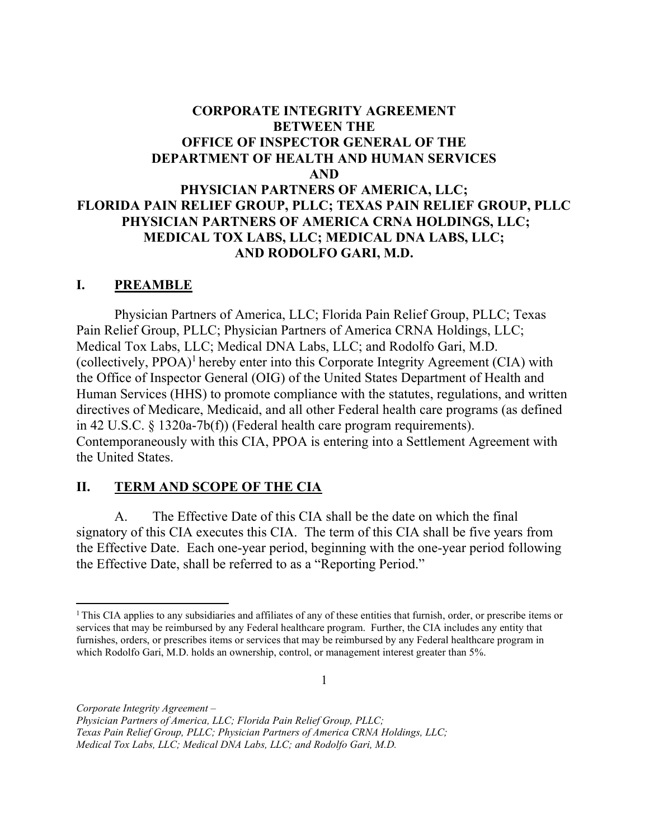# BETWEEN THE OFFICE OF INSPECTOR GENERAL OF THE DEPARTMENT OF HEALTH AND HUMAN SERVICES PHYSICIAN PARTNERS OF AMERICA, LLC; CORPORATE INTEGRITY AGREEMENT AND

# FLORIDA PAIN RELIEF GROUP, PLLC; TEXAS PAIN RELIEF GROUP, PLLC PHYSICIAN PARTNERS OF AMERICA CRNA HOLDINGS, LLC; MEDICAL TOX LABS, LLC; MEDICAL DNA LABS, LLC; AND RODOLFO GARI, M.D.

### I. PREAMBLE

 Physician Partners of America, LLC; Florida Pain Relief Group, PLLC; Texas Pain Relief Group, PLLC; Physician Partners of America CRNA Holdings, LLC; Medical Tox Labs, LLC; Medical DNA Labs, LLC; and Rodolfo Gari, M.D. (collectively,  $PPOA)^1$  hereby enter into this Corporate Integrity Agreement (CIA) with the Office of Inspector General (OIG) of the United States Department of Health and Human Services (HHS) to promote compliance with the statutes, regulations, and written directives of Medicare, Medicaid, and all other Federal health care programs (as defined in 42 U.S.C. § 1320a-7b(f)) (Federal health care program requirements). Contemporaneously with this CIA, PPOA is entering into a Settlement Agreement with the United States.

#### $\Pi$ . TERM AND SCOPE OF THE CIA

 $A<sub>1</sub>$  signatory of this CIA executes this CIA. The term of this CIA shall be five years from the Effective Date. Each one-year period, beginning with the one-year period following the Effective Date, shall be referred to as a "Reporting Period." The Effective Date of this CIA shall be the date on which the final

1

Corporate Integrity Agreement –

Physician Partners of America, LLC; Florida Pain Relief Group, PLLC;

Texas Pain Relief Group, PLLC; Physician Partners of America CRNA Holdings, LLC;

<sup>&</sup>lt;sup>1</sup>This CIA applies to any subsidiaries and affiliates of any of these entities that furnish, order, or prescribe items or services that may be reimbursed by any Federal healthcare program. Further, the CIA includes any entity that furnishes, orders, or prescribes items or services that may be reimbursed by any Federal healthcare program in which Rodolfo Gari, M.D. holds an ownership, control, or management interest greater than 5%.

 Medical Tox Labs, LLC; Medical DNA Labs, LLC; and Rodolfo Gari, M.D.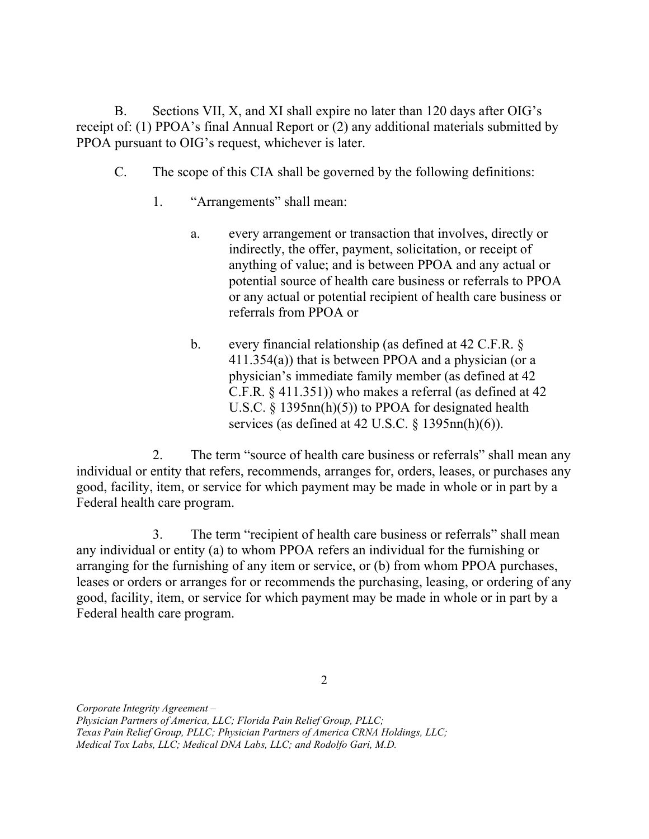B. Sections VII, X, and XI shall expire no later than 120 days after OIG's receipt of: (1) PPOA's final Annual Report or (2) any additional materials submitted by PPOA pursuant to OIG's request, whichever is later.

- $C_{\cdot}$ The scope of this CIA shall be governed by the following definitions:
	- 1. "Arrangements" shall mean:
		- $\mathbf{a}$ . indirectly, the offer, payment, solicitation, or receipt of anything of value; and is between PPOA and any actual or potential source of health care business or referrals to PPOA or any actual or potential recipient of health care business or referrals from PPOA or every arrangement or transaction that involves, directly or
		- $\mathbf{b}$ . 411.354(a)) that is between PPOA and a physician (or a physician's immediate family member (as defined at 42 C.F.R. § 411.351)) who makes a referral (as defined at 42 U.S.C. § 1395nn(h)(5)) to PPOA for designated health services (as defined at 42 U.S.C.  $\S$  1395nn(h)(6)). every financial relationship (as defined at  $42$  C.F.R.  $\delta$ )

 $\overline{2}$ . individual or entity that refers, recommends, arranges for, orders, leases, or purchases any good, facility, item, or service for which payment may be made in whole or in part by a Federal health care program. The term "source of health care business or referrals" shall mean any

3. any individual or entity (a) to whom PPOA refers an individual for the furnishing or arranging for the furnishing of any item or service, or (b) from whom PPOA purchases, leases or orders or arranges for or recommends the purchasing, leasing, or ordering of any good, facility, item, or service for which payment may be made in whole or in part by a Federal health care program. The term "recipient of health care business or referrals" shall mean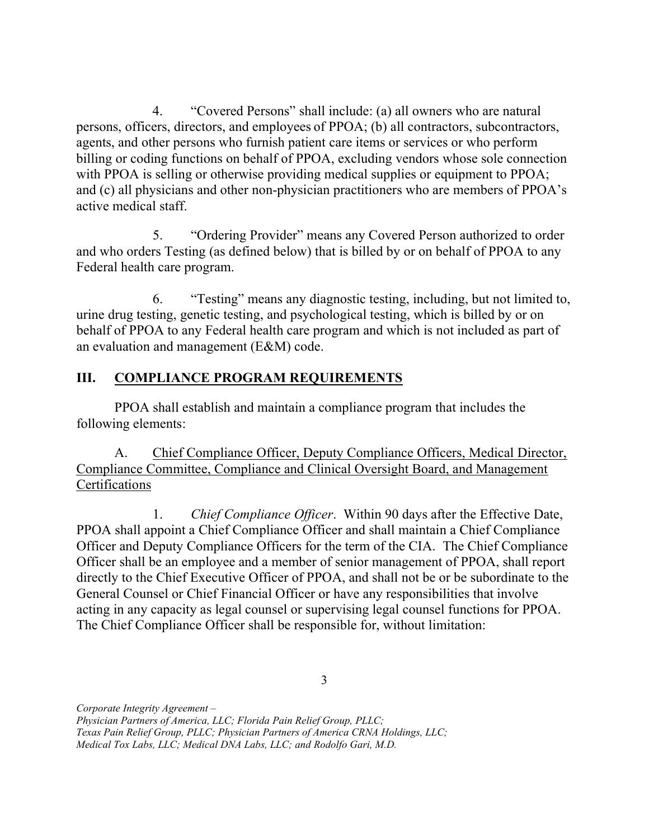$\overline{4}$ . persons, officers, directors, and employees of PPOA; (b) all contractors, subcontractors, agents, and other persons who furnish patient care items or services or who perform billing or coding functions on behalf of PPOA, excluding vendors whose sole connection with PPOA is selling or otherwise providing medical supplies or equipment to PPOA; and (c) all physicians and other non-physician practitioners who are members of PPOA's active medical staff. 4. "Covered Persons" shall include: (a) all owners who are natural

 and who orders Testing (as defined below) that is billed by or on behalf of PPOA to any Federal health care program. 5. "Ordering Provider" means any Covered Person authorized to order

 urine drug testing, genetic testing, and psychological testing, which is billed by or on behalf of PPOA to any Federal health care program and which is not included as part of an evaluation and management (E&M) code. 6. "Testing" means any diagnostic testing, including, but not limited to,

# III. COMPLIANCE PROGRAM REQUIREMENTS

 PPOA shall establish and maintain a compliance program that includes the following elements:

A. Compliance Committee, Compliance and Clinical Oversight Board, and Management Certifications Chief Compliance Officer, Deputy Compliance Officers, Medical Director,

 $1_{\cdot}$  PPOA shall appoint a Chief Compliance Officer and shall maintain a Chief Compliance Officer and Deputy Compliance Officers for the term of the CIA. The Chief Compliance Officer shall be an employee and a member of senior management of PPOA, shall report directly to the Chief Executive Officer of PPOA, and shall not be or be subordinate to the General Counsel or Chief Financial Officer or have any responsibilities that involve acting in any capacity as legal counsel or supervising legal counsel functions for PPOA. The Chief Compliance Officer shall be responsible for, without limitation: Chief Compliance Officer. Within 90 days after the Effective Date,

 Physician Partners of America, LLC; Florida Pain Relief Group, PLLC; Texas Pain Relief Group, PLLC; Physician Partners of America CRNA Holdings, LLC; Medical Tox Labs, LLC; Medical DNA Labs, LLC; and Rodolfo Gari, M.D.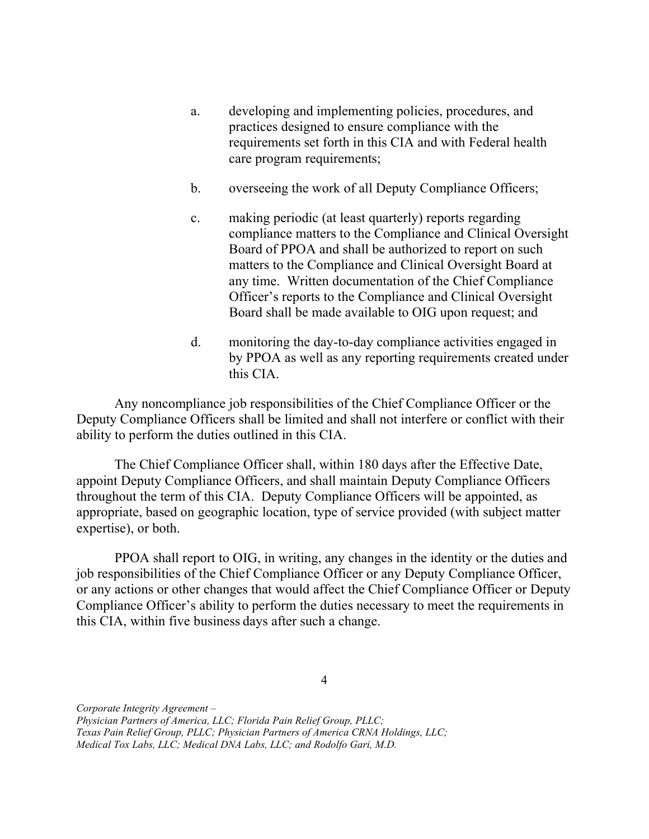- a. developing and implementing policies, procedures, and practices designed to ensure compliance with the requirements set forth in this CIA and with Federal health care program requirements;
- b. overseeing the work of all Deputy Compliance Officers;
- $\mathbf{c}$ . compliance matters to the Compliance and Clinical Oversight Board of PPOA and shall be authorized to report on such matters to the Compliance and Clinical Oversight Board at any time. Written documentation of the Chief Compliance Officer's reports to the Compliance and Clinical Oversight Board shall be made available to OIG upon request; and making periodic (at least quarterly) reports regarding
- d. monitoring the day-to-day compliance activities engaged in by PPOA as well as any reporting requirements created under this CIA.

 Any noncompliance job responsibilities of the Chief Compliance Officer or the Deputy Compliance Officers shall be limited and shall not interfere or conflict with their ability to perform the duties outlined in this CIA.

 The Chief Compliance Officer shall, within 180 days after the Effective Date, appoint Deputy Compliance Officers, and shall maintain Deputy Compliance Officers throughout the term of this CIA. Deputy Compliance Officers will be appointed, as appropriate, based on geographic location, type of service provided (with subject matter expertise), or both.

 PPOA shall report to OIG, in writing, any changes in the identity or the duties and job responsibilities of the Chief Compliance Officer or any Deputy Compliance Officer, or any actions or other changes that would affect the Chief Compliance Officer or Deputy Compliance Officer's ability to perform the duties necessary to meet the requirements in this CIA, within five business days after such a change.

4

 Physician Partners of America, LLC; Florida Pain Relief Group, PLLC; Texas Pain Relief Group, PLLC; Physician Partners of America CRNA Holdings, LLC; Medical Tox Labs, LLC; Medical DNA Labs, LLC; and Rodolfo Gari, M.D.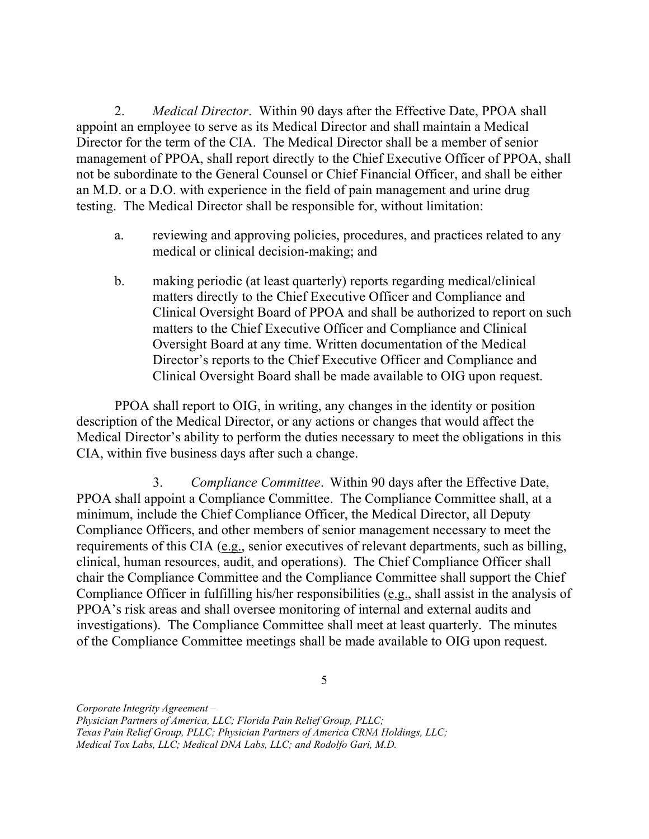2. appoint an employee to serve as its Medical Director and shall maintain a Medical Director for the term of the CIA. The Medical Director shall be a member of senior management of PPOA, shall report directly to the Chief Executive Officer of PPOA, shall not be subordinate to the General Counsel or Chief Financial Officer, and shall be either an M.D. or a D.O. with experience in the field of pain management and urine drug testing. The Medical Director shall be responsible for, without limitation: Medical Director. Within 90 days after the Effective Date, PPOA shall

- a. medical or clinical decision-making; and reviewing and approving policies, procedures, and practices related to any
- $\mathbf{b}$ . matters directly to the Chief Executive Officer and Compliance and Clinical Oversight Board of PPOA and shall be authorized to report on such Oversight Board at any time. Written documentation of the Medical Director's reports to the Chief Executive Officer and Compliance and Clinical Oversight Board shall be made available to OIG upon request. making periodic (at least quarterly) reports regarding medical/clinical matters to the Chief Executive Officer and Compliance and Clinical

 PPOA shall report to OIG, in writing, any changes in the identity or position description of the Medical Director, or any actions or changes that would affect the Medical Director's ability to perform the duties necessary to meet the obligations in this CIA, within five business days after such a change.

3. Compliance Committee. Within 90 days after the Effective Date, PPOA shall appoint a Compliance Committee. The Compliance Committee shall, at a minimum, include the Chief Compliance Officer, the Medical Director, all Deputy Compliance Officers, and other members of senior management necessary to meet the requirements of this CIA (e.g., senior executives of relevant departments, such as billing, clinical, human resources, audit, and operations). The Chief Compliance Officer shall chair the Compliance Committee and the Compliance Committee shall support the Chief Compliance Officer in fulfilling his/her responsibilities (e.g., shall assist in the analysis of PPOA's risk areas and shall oversee monitoring of internal and external audits and investigations). The Compliance Committee shall meet at least quarterly. The minutes of the Compliance Committee meetings shall be made available to OIG upon request.

5

Corporate Integrity Agreement –

Physician Partners of America, LLC; Florida Pain Relief Group, PLLC;

Texas Pain Relief Group, PLLC; Physician Partners of America CRNA Holdings, LLC;

Medical Tox Labs, LLC; Medical DNA Labs, LLC; and Rodolfo Gari, M.D.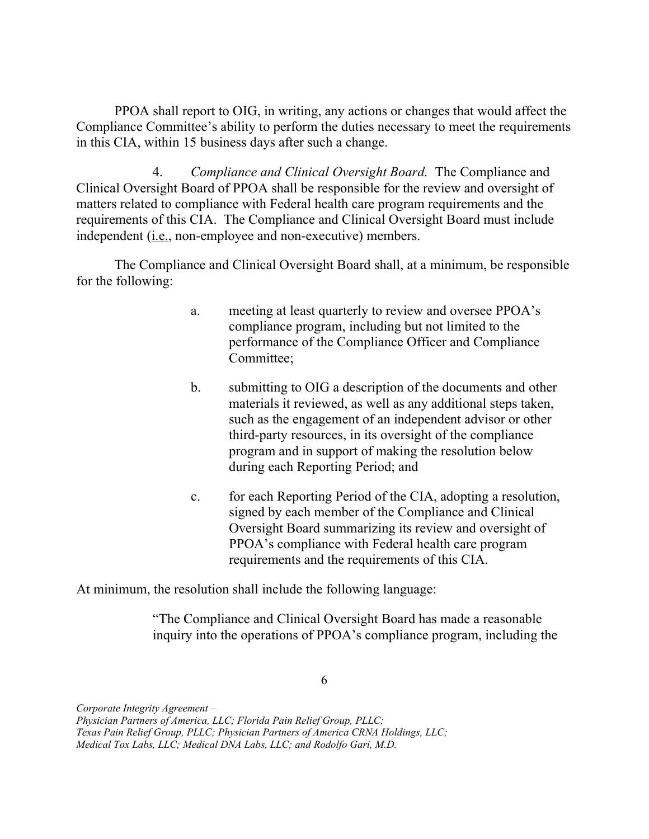PPOA shall report to OIG, in writing, any actions or changes that would affect the Compliance Committee's ability to perform the duties necessary to meet the requirements in this CIA, within 15 business days after such a change.

4. Compliance and Clinical Oversight Board. The Compliance and Clinical Oversight Board of PPOA shall be responsible for the review and oversight of matters related to compliance with Federal health care program requirements and the requirements of this CIA. The Compliance and Clinical Oversight Board must include independent (i.e., non-employee and non-executive) members.

 The Compliance and Clinical Oversight Board shall, at a minimum, be responsible for the following:

- a. meeting at least quarterly to review and oversee PPOA's compliance program, including but not limited to the performance of the Compliance Officer and Compliance Committee;
- b. submitting to OIG a description of the documents and other materials it reviewed, as well as any additional steps taken, such as the engagement of an independent advisor or other third-party resources, in its oversight of the compliance program and in support of making the resolution below during each Reporting Period; and
- $\mathbf{c}$ . signed by each member of the Compliance and Clinical Oversight Board summarizing its review and oversight of PPOA's compliance with Federal health care program requirements and the requirements of this CIA. for each Reporting Period of the CIA, adopting a resolution,

At minimum, the resolution shall include the following language:

 "The Compliance and Clinical Oversight Board has made a reasonable inquiry into the operations of PPOA's compliance program, including the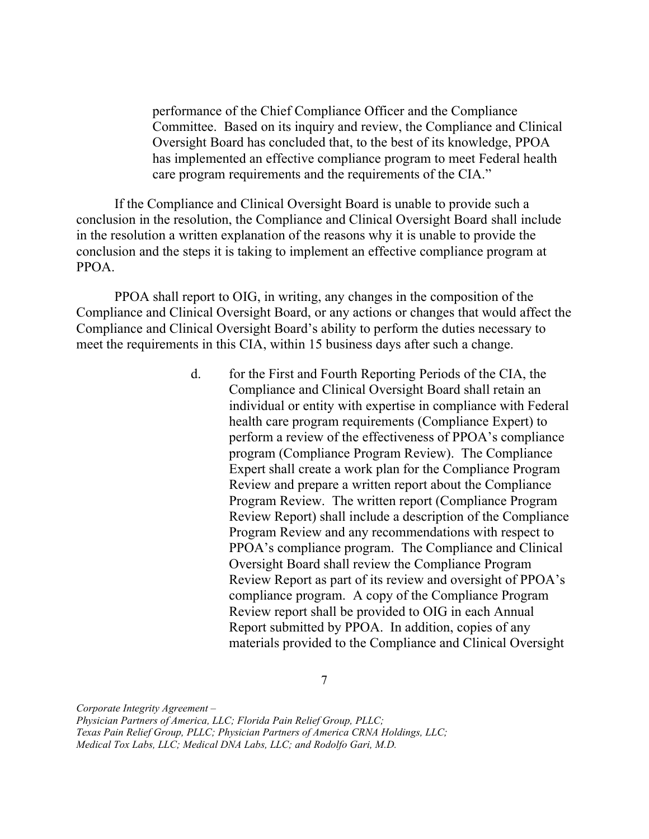performance of the Chief Compliance Officer and the Compliance Committee. Based on its inquiry and review, the Compliance and Clinical Oversight Board has concluded that, to the best of its knowledge, PPOA has implemented an effective compliance program to meet Federal health care program requirements and the requirements of the CIA."

 If the Compliance and Clinical Oversight Board is unable to provide such a conclusion in the resolution, the Compliance and Clinical Oversight Board shall include in the resolution a written explanation of the reasons why it is unable to provide the conclusion and the steps it is taking to implement an effective compliance program at PPOA.

 PPOA shall report to OIG, in writing, any changes in the composition of the Compliance and Clinical Oversight Board, or any actions or changes that would affect the Compliance and Clinical Oversight Board's ability to perform the duties necessary to meet the requirements in this CIA, within 15 business days after such a change.

> $d_{\cdot}$  Compliance and Clinical Oversight Board shall retain an individual or entity with expertise in compliance with Federal health care program requirements (Compliance Expert) to perform a review of the effectiveness of PPOA's compliance program (Compliance Program Review). The Compliance Expert shall create a work plan for the Compliance Program Review and prepare a written report about the Compliance Program Review. The written report (Compliance Program Review Report) shall include a description of the Compliance Program Review and any recommendations with respect to PPOA's compliance program. The Compliance and Clinical Oversight Board shall review the Compliance Program Review Report as part of its review and oversight of PPOA's compliance program. A copy of the Compliance Program Review report shall be provided to OIG in each Annual Report submitted by PPOA. In addition, copies of any materials provided to the Compliance and Clinical Oversight for the First and Fourth Reporting Periods of the CIA, the

> > 7

 Physician Partners of America, LLC; Florida Pain Relief Group, PLLC; Texas Pain Relief Group, PLLC; Physician Partners of America CRNA Holdings, LLC; Medical Tox Labs, LLC; Medical DNA Labs, LLC; and Rodolfo Gari, M.D.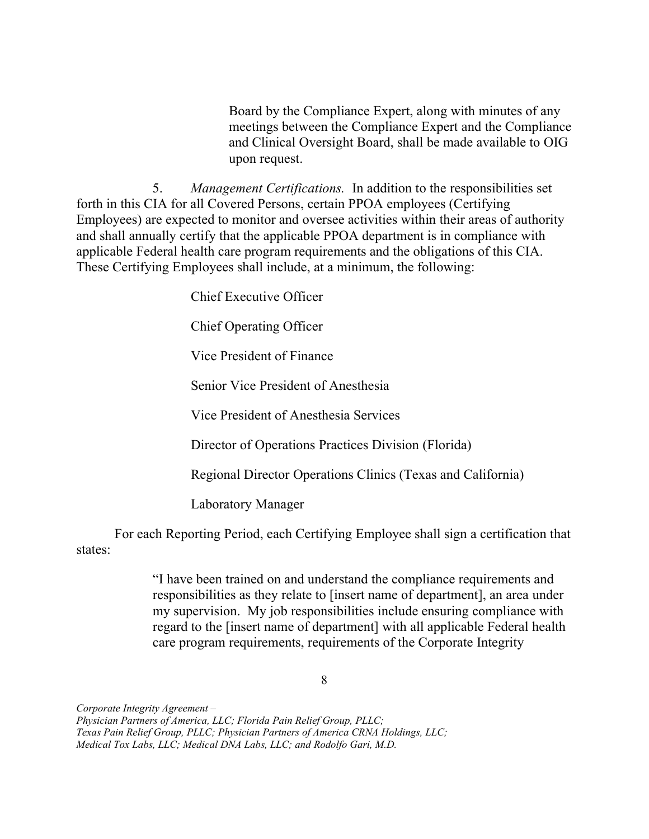Board by the Compliance Expert, along with minutes of any meetings between the Compliance Expert and the Compliance and Clinical Oversight Board, shall be made available to OIG upon request.

5. Management Certifications. In addition to the responsibilities set forth in this CIA for all Covered Persons, certain PPOA employees (Certifying Employees) are expected to monitor and oversee activities within their areas of authority and shall annually certify that the applicable PPOA department is in compliance with applicable Federal health care program requirements and the obligations of this CIA. These Certifying Employees shall include, at a minimum, the following:

Chief Executive Officer

Chief Operating Officer

Vice President of Finance

Senior Vice President of Anesthesia

Vice President of Anesthesia Services

Director of Operations Practices Division (Florida)

Regional Director Operations Clinics (Texas and California)

Laboratory Manager

 For each Reporting Period, each Certifying Employee shall sign a certification that states:

> "I have been trained on and understand the compliance requirements and responsibilities as they relate to [insert name of department], an area under my supervision. My job responsibilities include ensuring compliance with regard to the [insert name of department] with all applicable Federal health care program requirements, requirements of the Corporate Integrity

> > 8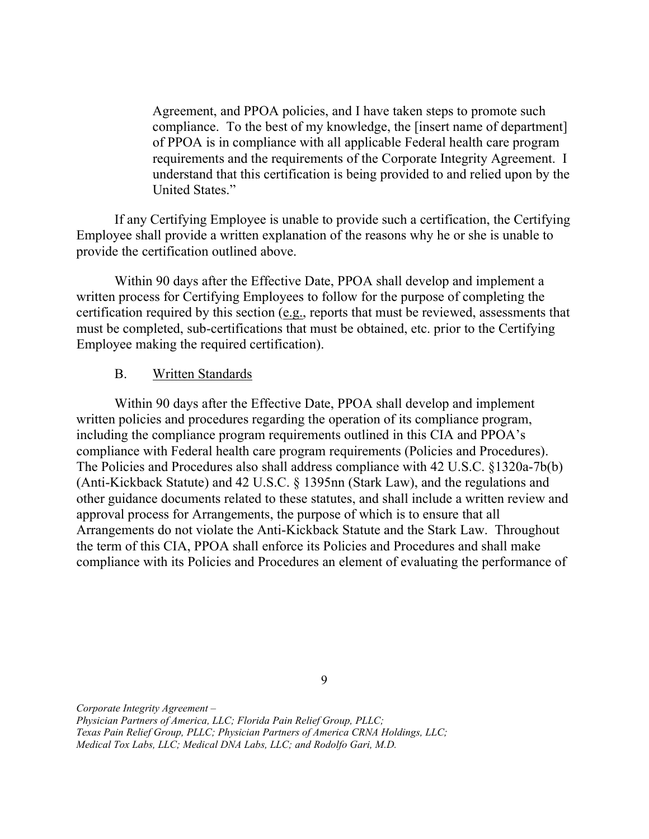Agreement, and PPOA policies, and I have taken steps to promote such compliance. To the best of my knowledge, the [insert name of department] of PPOA is in compliance with all applicable Federal health care program requirements and the requirements of the Corporate Integrity Agreement. I understand that this certification is being provided to and relied upon by the United States."

 If any Certifying Employee is unable to provide such a certification, the Certifying Employee shall provide a written explanation of the reasons why he or she is unable to provide the certification outlined above.

 Within 90 days after the Effective Date, PPOA shall develop and implement a written process for Certifying Employees to follow for the purpose of completing the certification required by this section (e.g., reports that must be reviewed, assessments that must be completed, sub-certifications that must be obtained, etc. prior to the Certifying Employee making the required certification).

#### **B.** Written Standards

 Within 90 days after the Effective Date, PPOA shall develop and implement written policies and procedures regarding the operation of its compliance program, including the compliance program requirements outlined in this CIA and PPOA's compliance with Federal health care program requirements (Policies and Procedures). The Policies and Procedures also shall address compliance with 42 U.S.C. §1320a-7b(b) (Anti-Kickback Statute) and 42 U.S.C. § 1395nn (Stark Law), and the regulations and other guidance documents related to these statutes, and shall include a written review and approval process for Arrangements, the purpose of which is to ensure that all Arrangements do not violate the Anti-Kickback Statute and the Stark Law. Throughout the term of this CIA, PPOA shall enforce its Policies and Procedures and shall make compliance with its Policies and Procedures an element of evaluating the performance of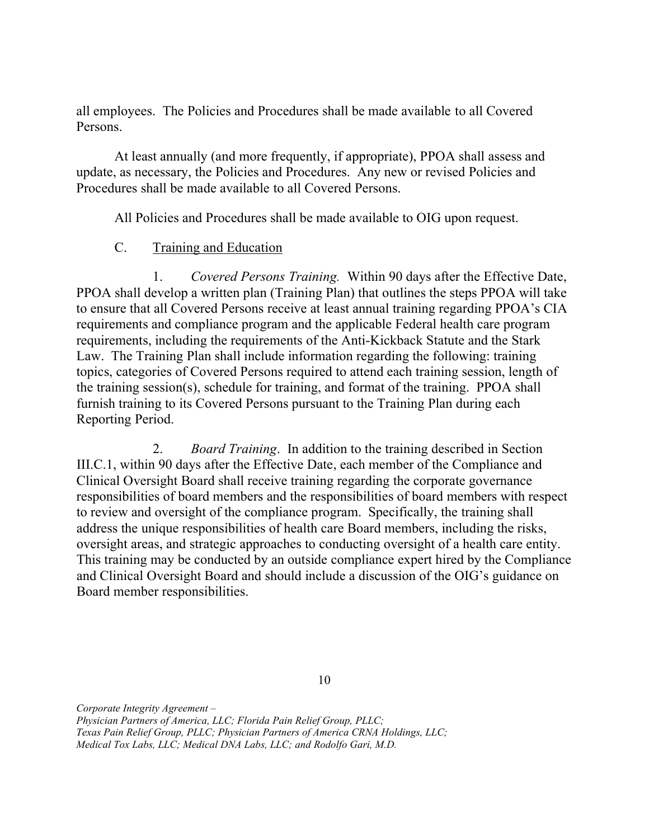all employees. The Policies and Procedures shall be made available to all Covered Persons.

 At least annually (and more frequently, if appropriate), PPOA shall assess and update, as necessary, the Policies and Procedures. Any new or revised Policies and Procedures shall be made available to all Covered Persons.

All Policies and Procedures shall be made available to OIG upon request.

## C. Training and Education

1. PPOA shall develop a written plan (Training Plan) that outlines the steps PPOA will take to ensure that all Covered Persons receive at least annual training regarding PPOA's CIA requirements and compliance program and the applicable Federal health care program requirements, including the requirements of the Anti-Kickback Statute and the Stark Law. The Training Plan shall include information regarding the following: training topics, categories of Covered Persons required to attend each training session, length of the training session(s), schedule for training, and format of the training. PPOA shall furnish training to its Covered Persons pursuant to the Training Plan during each Reporting Period. Covered Persons Training. Within 90 days after the Effective Date,

2. Board Training. In addition to the training described in Section III.C.1, within 90 days after the Effective Date, each member of the Compliance and Clinical Oversight Board shall receive training regarding the corporate governance responsibilities of board members and the responsibilities of board members with respect to review and oversight of the compliance program. Specifically, the training shall address the unique responsibilities of health care Board members, including the risks, oversight areas, and strategic approaches to conducting oversight of a health care entity. This training may be conducted by an outside compliance expert hired by the Compliance and Clinical Oversight Board and should include a discussion of the OIG's guidance on Board member responsibilities.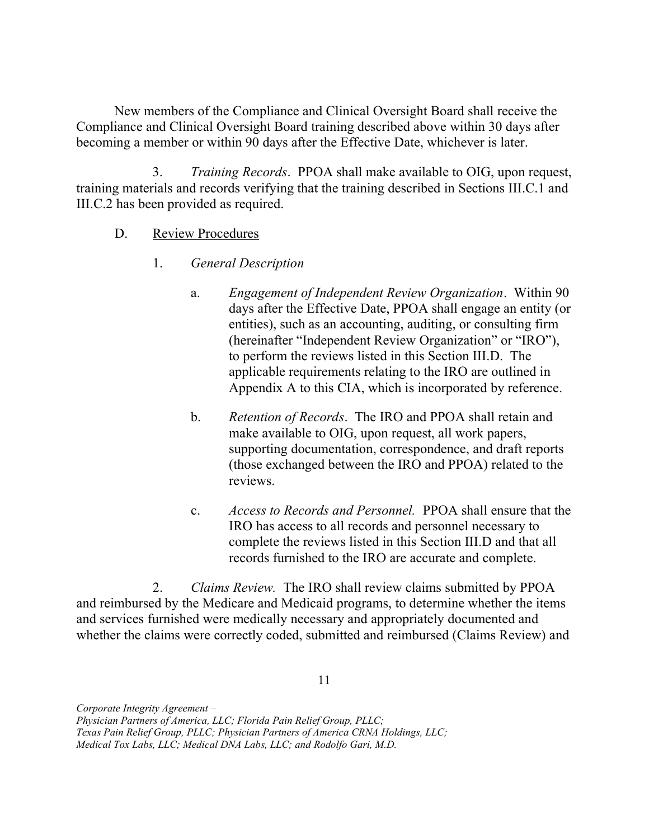New members of the Compliance and Clinical Oversight Board shall receive the Compliance and Clinical Oversight Board training described above within 30 days after becoming a member or within 90 days after the Effective Date, whichever is later.

 training materials and records verifying that the training described in Sections III.C.1 and III.C.2 has been provided as required. 3. Training Records. PPOA shall make available to OIG, upon request,

- D. Review Procedures
	- 1. General Description
		- a. Engagement of Independent Review Organization. Within 90 days after the Effective Date, PPOA shall engage an entity (or entities), such as an accounting, auditing, or consulting firm (hereinafter "Independent Review Organization" or "IRO"), to perform the reviews listed in this Section III.D. The applicable requirements relating to the IRO are outlined in Appendix A to this CIA, which is incorporated by reference.
		- b. Retention of Records. The IRO and PPOA shall retain and make available to OIG, upon request, all work papers, supporting documentation, correspondence, and draft reports (those exchanged between the IRO and PPOA) related to the reviews.
		- c. Access to Records and Personnel. PPOA shall ensure that the IRO has access to all records and personnel necessary to complete the reviews listed in this Section III.D and that all records furnished to the IRO are accurate and complete.

2. Claims Review. The IRO shall review claims submitted by PPOA and reimbursed by the Medicare and Medicaid programs, to determine whether the items and services furnished were medically necessary and appropriately documented and whether the claims were correctly coded, submitted and reimbursed (Claims Review) and

11

 Corporate Integrity Agreement – Physician Partners of America, LLC; Florida Pain Relief Group, PLLC;

 Texas Pain Relief Group, PLLC; Physician Partners of America CRNA Holdings, LLC;

 Medical Tox Labs, LLC; Medical DNA Labs, LLC; and Rodolfo Gari, M.D.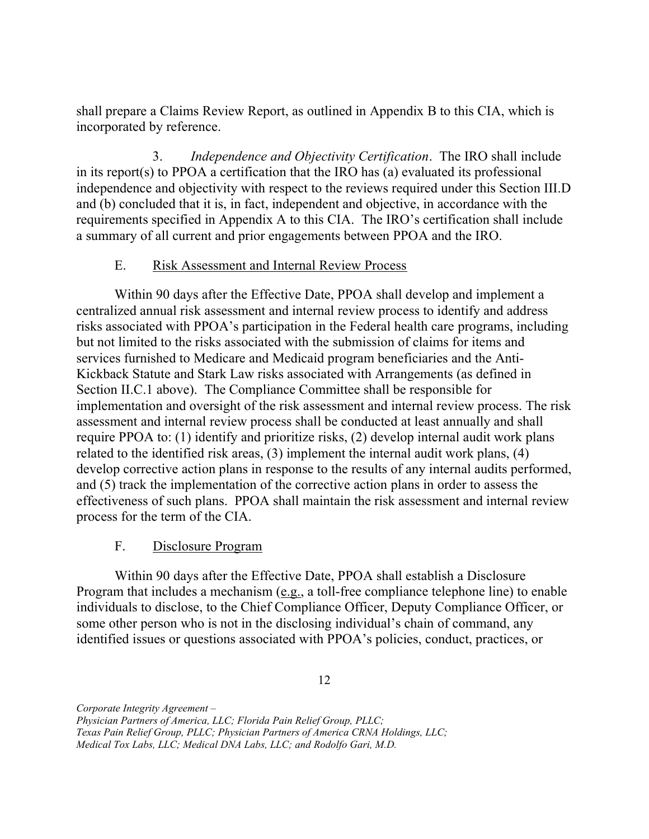shall prepare a Claims Review Report, as outlined in Appendix B to this CIA, which is incorporated by reference.

3. Independence and Objectivity Certification. The IRO shall include in its report(s) to PPOA a certification that the IRO has (a) evaluated its professional independence and objectivity with respect to the reviews required under this Section III.D and (b) concluded that it is, in fact, independent and objective, in accordance with the requirements specified in Appendix A to this CIA. The IRO's certification shall include a summary of all current and prior engagements between PPOA and the IRO.

#### $E_{\cdot}$ E. Risk Assessment and Internal Review Process

 Within 90 days after the Effective Date, PPOA shall develop and implement a centralized annual risk assessment and internal review process to identify and address risks associated with PPOA's participation in the Federal health care programs, including but not limited to the risks associated with the submission of claims for items and services furnished to Medicare and Medicaid program beneficiaries and the Anti- Kickback Statute and Stark Law risks associated with Arrangements (as defined in Section II.C.1 above). The Compliance Committee shall be responsible for implementation and oversight of the risk assessment and internal review process. The risk assessment and internal review process shall be conducted at least annually and shall require PPOA to: (1) identify and prioritize risks, (2) develop internal audit work plans related to the identified risk areas, (3) implement the internal audit work plans, (4) develop corrective action plans in response to the results of any internal audits performed, and (5) track the implementation of the corrective action plans in order to assess the effectiveness of such plans. PPOA shall maintain the risk assessment and internal review process for the term of the CIA.

## F. Disclosure Program

 Within 90 days after the Effective Date, PPOA shall establish a Disclosure Program that includes a mechanism (e.g., a toll-free compliance telephone line) to enable individuals to disclose, to the Chief Compliance Officer, Deputy Compliance Officer, or some other person who is not in the disclosing individual's chain of command, any identified issues or questions associated with PPOA's policies, conduct, practices, or

 Physician Partners of America, LLC; Florida Pain Relief Group, PLLC;

 Texas Pain Relief Group, PLLC; Physician Partners of America CRNA Holdings, LLC;

 Medical Tox Labs, LLC; Medical DNA Labs, LLC; and Rodolfo Gari, M.D.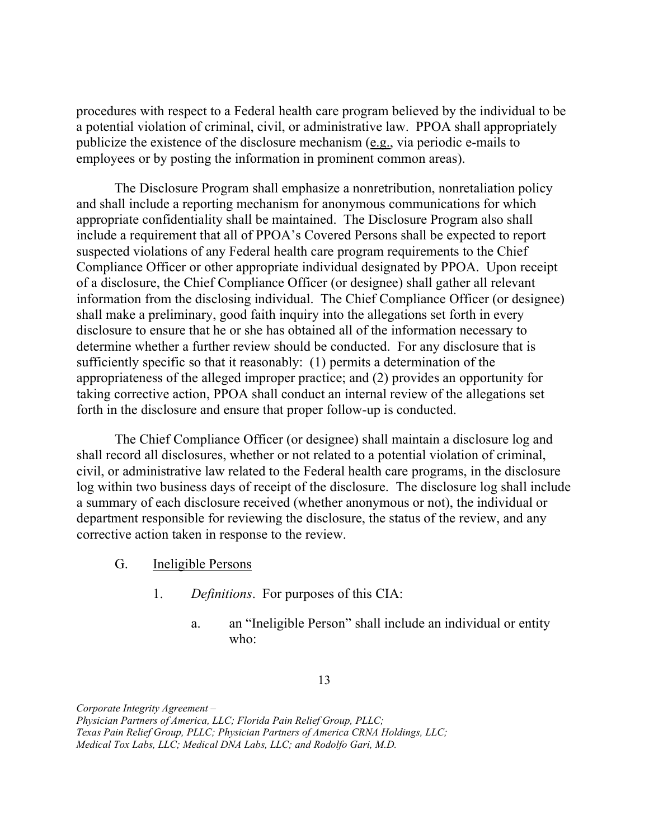procedures with respect to a Federal health care program believed by the individual to be a potential violation of criminal, civil, or administrative law. PPOA shall appropriately publicize the existence of the disclosure mechanism (e.g., via periodic e-mails to employees or by posting the information in prominent common areas).

 The Disclosure Program shall emphasize a nonretribution, nonretaliation policy and shall include a reporting mechanism for anonymous communications for which appropriate confidentiality shall be maintained. The Disclosure Program also shall include a requirement that all of PPOA's Covered Persons shall be expected to report suspected violations of any Federal health care program requirements to the Chief Compliance Officer or other appropriate individual designated by PPOA. Upon receipt of a disclosure, the Chief Compliance Officer (or designee) shall gather all relevant information from the disclosing individual. The Chief Compliance Officer (or designee) shall make a preliminary, good faith inquiry into the allegations set forth in every disclosure to ensure that he or she has obtained all of the information necessary to determine whether a further review should be conducted. For any disclosure that is sufficiently specific so that it reasonably: (1) permits a determination of the appropriateness of the alleged improper practice; and (2) provides an opportunity for taking corrective action, PPOA shall conduct an internal review of the allegations set forth in the disclosure and ensure that proper follow-up is conducted.

 The Chief Compliance Officer (or designee) shall maintain a disclosure log and shall record all disclosures, whether or not related to a potential violation of criminal, civil, or administrative law related to the Federal health care programs, in the disclosure log within two business days of receipt of the disclosure. The disclosure log shall include a summary of each disclosure received (whether anonymous or not), the individual or department responsible for reviewing the disclosure, the status of the review, and any corrective action taken in response to the review.

- G. Ineligible Persons
	- 1. Definitions. For purposes of this CIA:
		- a. an "Ineligible Person" shall include an individual or entity who: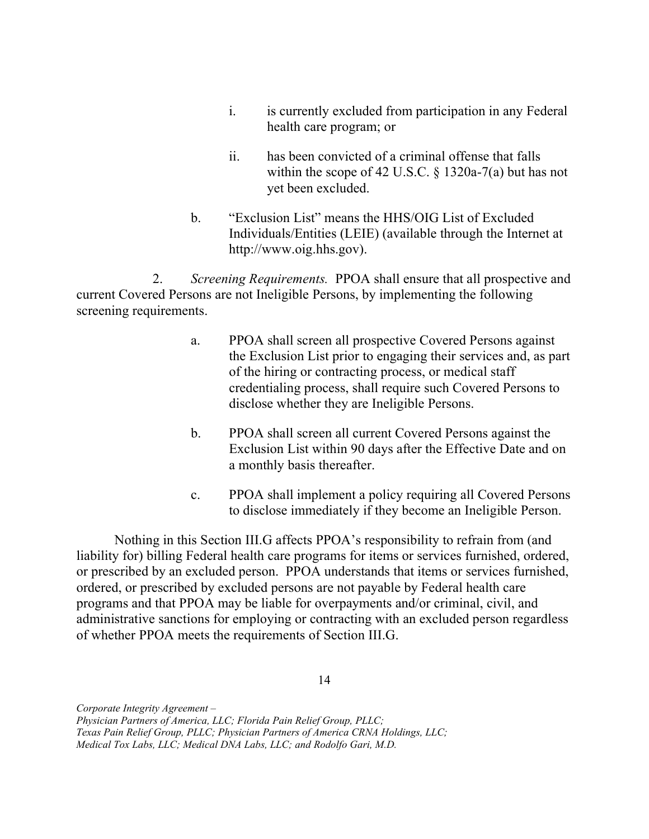- $\mathbf{i}$ . health care program; or is currently excluded from participation in any Federal
- $ii$  within the scope of 42 U.S.C. § 1320a-7(a) but has not yet been excluded. has been convicted of a criminal offense that falls
- b. "Exclusion List" means the HHS/OIG List of Excluded Individuals/Entities (LEIE) (available through the Internet at <http://www.oig.hhs.gov>).

2. Screening Requirements. PPOA shall ensure that all prospective and current Covered Persons are not Ineligible Persons, by implementing the following screening requirements.

- $a<sub>1</sub>$  the Exclusion List prior to engaging their services and, as part of the hiring or contracting process, or medical staff credentialing process, shall require such Covered Persons to disclose whether they are Ineligible Persons. PPOA shall screen all prospective Covered Persons against
- $\mathbf{b}$ . Exclusion List within 90 days after the Effective Date and on a monthly basis thereafter. b. PPOA shall screen all current Covered Persons against the
- $\mathbf{c}$ . to disclose immediately if they become an Ineligible Person. PPOA shall implement a policy requiring all Covered Persons

 Nothing in this Section III.G affects PPOA's responsibility to refrain from (and liability for) billing Federal health care programs for items or services furnished, ordered, or prescribed by an excluded person. PPOA understands that items or services furnished, ordered, or prescribed by excluded persons are not payable by Federal health care programs and that PPOA may be liable for overpayments and/or criminal, civil, and administrative sanctions for employing or contracting with an excluded person regardless of whether PPOA meets the requirements of Section III.G.

14

 Physician Partners of America, LLC; Florida Pain Relief Group, PLLC;

 Texas Pain Relief Group, PLLC; Physician Partners of America CRNA Holdings, LLC;

 Medical Tox Labs, LLC; Medical DNA Labs, LLC; and Rodolfo Gari, M.D.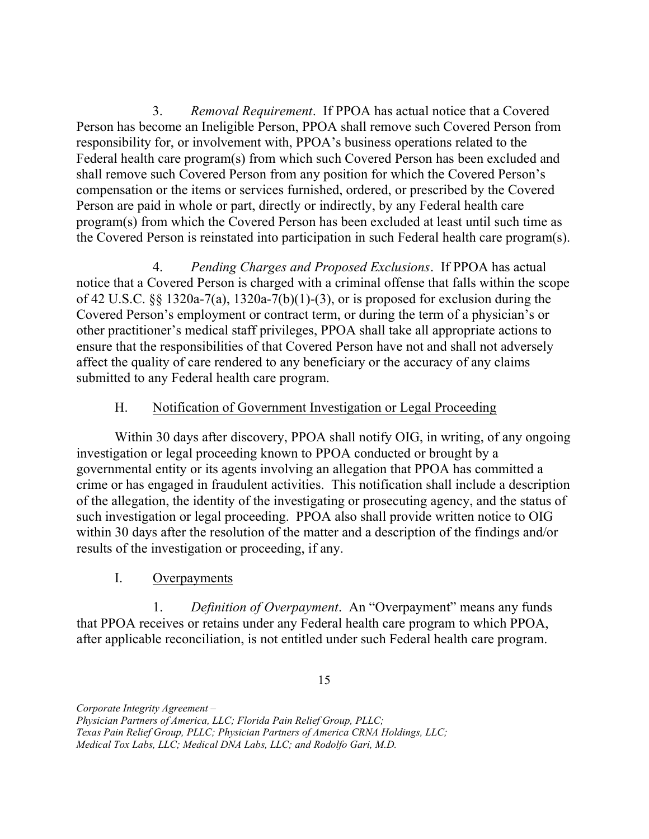3. Removal Requirement. If PPOA has actual notice that a Covered Person has become an Ineligible Person, PPOA shall remove such Covered Person from responsibility for, or involvement with, PPOA's business operations related to the Federal health care program(s) from which such Covered Person has been excluded and shall remove such Covered Person from any position for which the Covered Person's compensation or the items or services furnished, ordered, or prescribed by the Covered Person are paid in whole or part, directly or indirectly, by any Federal health care program(s) from which the Covered Person has been excluded at least until such time as the Covered Person is reinstated into participation in such Federal health care program(s).

4. Pending Charges and Proposed Exclusions. If PPOA has actual notice that a Covered Person is charged with a criminal offense that falls within the scope of 42 U.S.C. §§ 1320a-7(a), 1320a-7(b)(1)-(3), or is proposed for exclusion during the Covered Person's employment or contract term, or during the term of a physician's or other practitioner's medical staff privileges, PPOA shall take all appropriate actions to ensure that the responsibilities of that Covered Person have not and shall not adversely affect the quality of care rendered to any beneficiary or the accuracy of any claims submitted to any Federal health care program.

## H. Notification of Government Investigation or Legal Proceeding

 Within 30 days after discovery, PPOA shall notify OIG, in writing, of any ongoing investigation or legal proceeding known to PPOA conducted or brought by a governmental entity or its agents involving an allegation that PPOA has committed a crime or has engaged in fraudulent activities. This notification shall include a description of the allegation, the identity of the investigating or prosecuting agency, and the status of such investigation or legal proceeding. PPOA also shall provide written notice to OIG within 30 days after the resolution of the matter and a description of the findings and/or results of the investigation or proceeding, if any.

## I. Overpayments

1. Definition of Overpayment. An "Overpayment" means any funds that PPOA receives or retains under any Federal health care program to which PPOA, after applicable reconciliation, is not entitled under such Federal health care program.

15

 Physician Partners of America, LLC; Florida Pain Relief Group, PLLC; Texas Pain Relief Group, PLLC; Physician Partners of America CRNA Holdings, LLC;

 Medical Tox Labs, LLC; Medical DNA Labs, LLC; and Rodolfo Gari, M.D.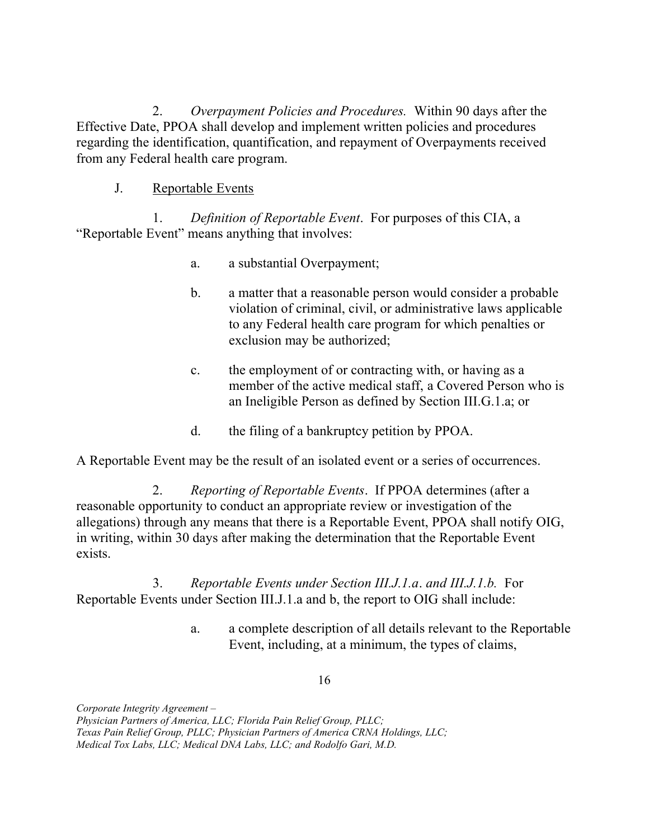2. Overpayment Policies and Procedures. Within 90 days after the Effective Date, PPOA shall develop and implement written policies and procedures regarding the identification, quantification, and repayment of Overpayments received from any Federal health care program.

J. Reportable Events

1. Definition of Reportable Event. For purposes of this CIA, a "Reportable Event" means anything that involves:

- a. a. a substantial Overpayment;
- $\mathbf{b}$ . violation of criminal, civil, or administrative laws applicable to any Federal health care program for which penalties or exclusion may be authorized; a matter that a reasonable person would consider a probable
- $\mathbf{c}$ . member of the active medical staff, a Covered Person who is an Ineligible Person as defined by Section III.G.1.a; or the employment of or contracting with, or having as a
- $d.$ the filing of a bankruptcy petition by PPOA.

A Reportable Event may be the result of an isolated event or a series of occurrences.

2. Reporting of Reportable Events. If PPOA determines (after a reasonable opportunity to conduct an appropriate review or investigation of the allegations) through any means that there is a Reportable Event, PPOA shall notify OIG, in writing, within 30 days after making the determination that the Reportable Event exists.

 3. Reportable Events under Section III.J.1.a. and III.J.1.b. For Reportable Events under Section III.J.1.a and b, the report to OIG shall include:

> a. Event, including, at a minimum, the types of claims, a. a complete description of all details relevant to the Reportable

> > 16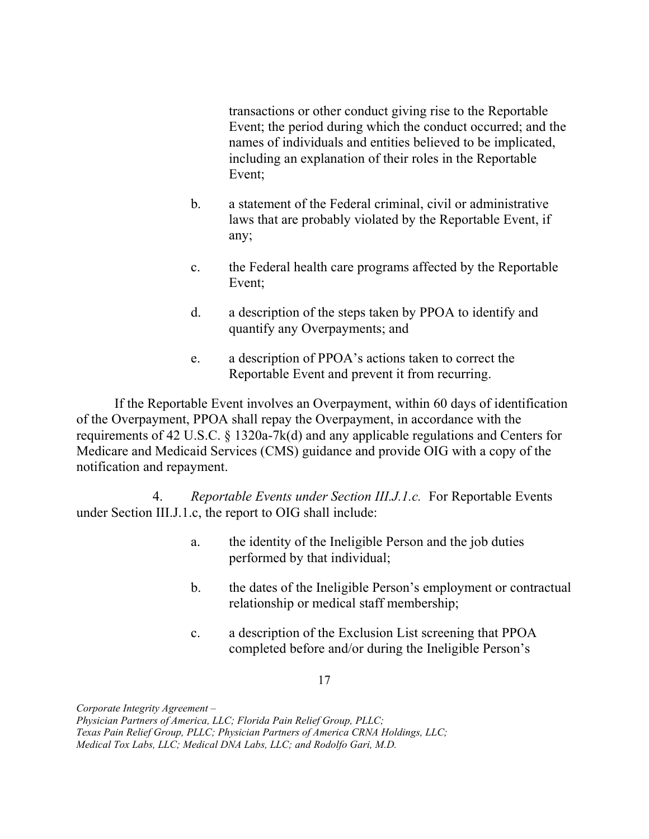transactions or other conduct giving rise to the Reportable Event; the period during which the conduct occurred; and the names of individuals and entities believed to be implicated, including an explanation of their roles in the Reportable Event;

- $\mathbf{b}$ . laws that are probably violated by the Reportable Event, if a statement of the Federal criminal, civil or administrative any;
- $\mathbf{c}$ . Event; the Federal health care programs affected by the Reportable
- $d_{\cdot}$  quantify any Overpayments; and a description of the steps taken by PPOA to identify and
- $e_{-}$  Reportable Event and prevent it from recurring. a description of PPOA's actions taken to correct the

 of the Overpayment, PPOA shall repay the Overpayment, in accordance with the requirements of 42 U.S.C. § 1320a-7k(d) and any applicable regulations and Centers for Medicare and Medicaid Services (CMS) guidance and provide OIG with a copy of the notification and repayment. If the Reportable Event involves an Overpayment, within 60 days of identification

4. Reportable Events under Section III.J.1.c. For Reportable Events under Section III.J.1.c, the report to OIG shall include:

- a. performed by that individual; the identity of the Ineligible Person and the job duties
- $\mathbf{b}$ . relationship or medical staff membership; b. the dates of the Ineligible Person's employment or contractual
- $\mathbf{c}$ . completed before and/or during the Ineligible Person's a description of the Exclusion List screening that PPOA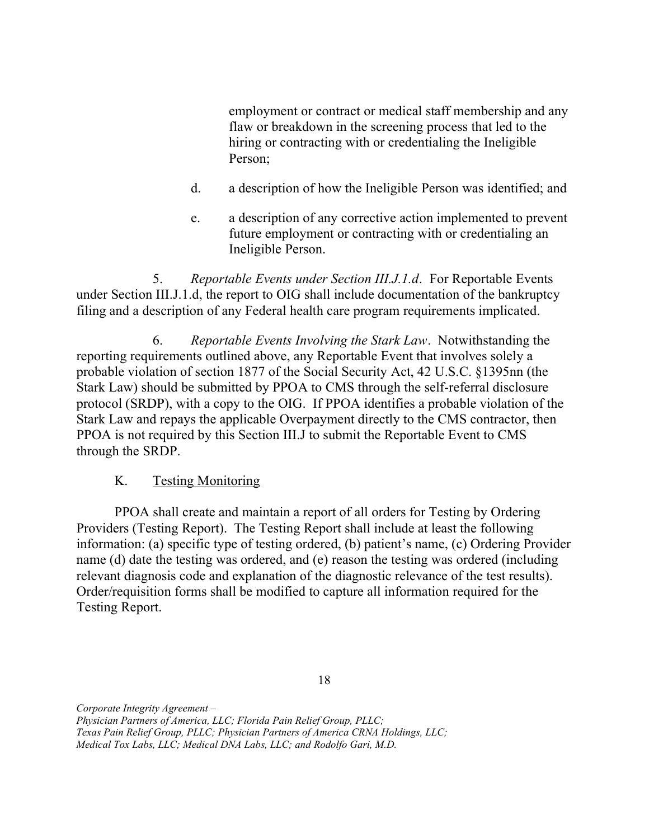employment or contract or medical staff membership and any flaw or breakdown in the screening process that led to the hiring or contracting with or credentialing the Ineligible Person;

- $d_{\cdot}$ a description of how the Ineligible Person was identified; and
- e. future employment or contracting with or credentialing an Ineligible Person. a description of any corrective action implemented to prevent

5. Reportable Events under Section III.J.1.d. For Reportable Events under Section III.J.1.d, the report to OIG shall include documentation of the bankruptcy filing and a description of any Federal health care program requirements implicated.

6. reporting requirements outlined above, any Reportable Event that involves solely a probable violation of section 1877 of the Social Security Act, 42 U.S.C. §1395nn (the Stark Law) should be submitted by PPOA to CMS through the self-referral disclosure protocol (SRDP), with a copy to the OIG. If PPOA identifies a probable violation of the Stark Law and repays the applicable Overpayment directly to the CMS contractor, then PPOA is not required by this Section III.J to submit the Reportable Event to CMS through the SRDP. Reportable Events Involving the Stark Law. Notwithstanding the

#### $K_{\cdot}$ **Testing Monitoring**

 PPOA shall create and maintain a report of all orders for Testing by Ordering Providers (Testing Report). The Testing Report shall include at least the following information: (a) specific type of testing ordered, (b) patient's name, (c) Ordering Provider name (d) date the testing was ordered, and (e) reason the testing was ordered (including relevant diagnosis code and explanation of the diagnostic relevance of the test results). Order/requisition forms shall be modified to capture all information required for the Testing Report.

 Physician Partners of America, LLC; Florida Pain Relief Group, PLLC; Texas Pain Relief Group, PLLC; Physician Partners of America CRNA Holdings, LLC; Medical Tox Labs, LLC; Medical DNA Labs, LLC; and Rodolfo Gari, M.D.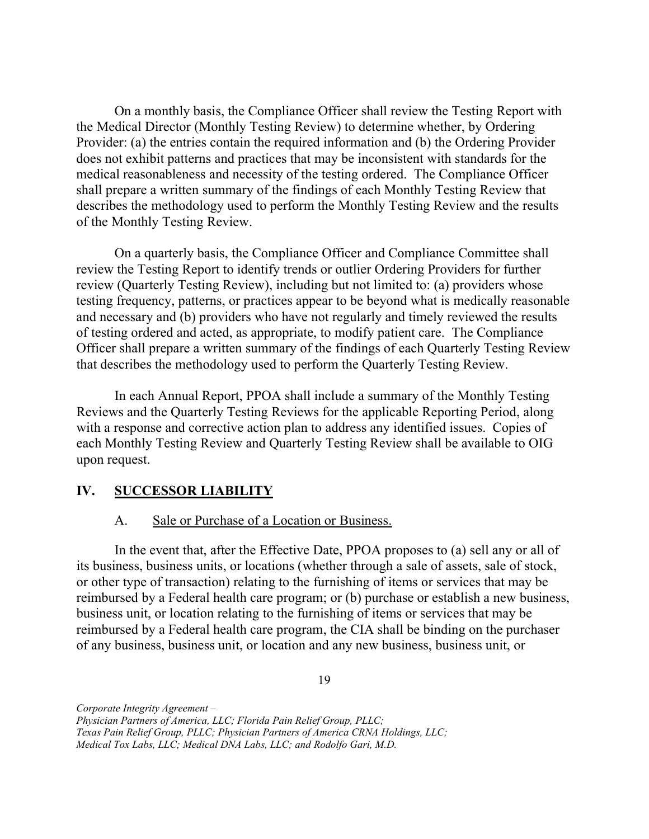On a monthly basis, the Compliance Officer shall review the Testing Report with the Medical Director (Monthly Testing Review) to determine whether, by Ordering Provider: (a) the entries contain the required information and (b) the Ordering Provider does not exhibit patterns and practices that may be inconsistent with standards for the medical reasonableness and necessity of the testing ordered. The Compliance Officer shall prepare a written summary of the findings of each Monthly Testing Review that describes the methodology used to perform the Monthly Testing Review and the results of the Monthly Testing Review.

 On a quarterly basis, the Compliance Officer and Compliance Committee shall review the Testing Report to identify trends or outlier Ordering Providers for further review (Quarterly Testing Review), including but not limited to: (a) providers whose testing frequency, patterns, or practices appear to be beyond what is medically reasonable and necessary and (b) providers who have not regularly and timely reviewed the results of testing ordered and acted, as appropriate, to modify patient care. The Compliance Officer shall prepare a written summary of the findings of each Quarterly Testing Review that describes the methodology used to perform the Quarterly Testing Review.

 Reviews and the Quarterly Testing Reviews for the applicable Reporting Period, along with a response and corrective action plan to address any identified issues. Copies of each Monthly Testing Review and Quarterly Testing Review shall be available to OIG upon request. In each Annual Report, PPOA shall include a summary of the Monthly Testing

## IV. SUCCESSOR LIABILITY

#### A. Sale or Purchase of a Location or Business.

 In the event that, after the Effective Date, PPOA proposes to (a) sell any or all of its business, business units, or locations (whether through a sale of assets, sale of stock, or other type of transaction) relating to the furnishing of items or services that may be reimbursed by a Federal health care program; or (b) purchase or establish a new business, business unit, or location relating to the furnishing of items or services that may be of any business, business unit, or location and any new business, business unit, or reimbursed by a Federal health care program, the CIA shall be binding on the purchaser

19

 Physician Partners of America, LLC; Florida Pain Relief Group, PLLC;

 Texas Pain Relief Group, PLLC; Physician Partners of America CRNA Holdings, LLC;

 Medical Tox Labs, LLC; Medical DNA Labs, LLC; and Rodolfo Gari, M.D.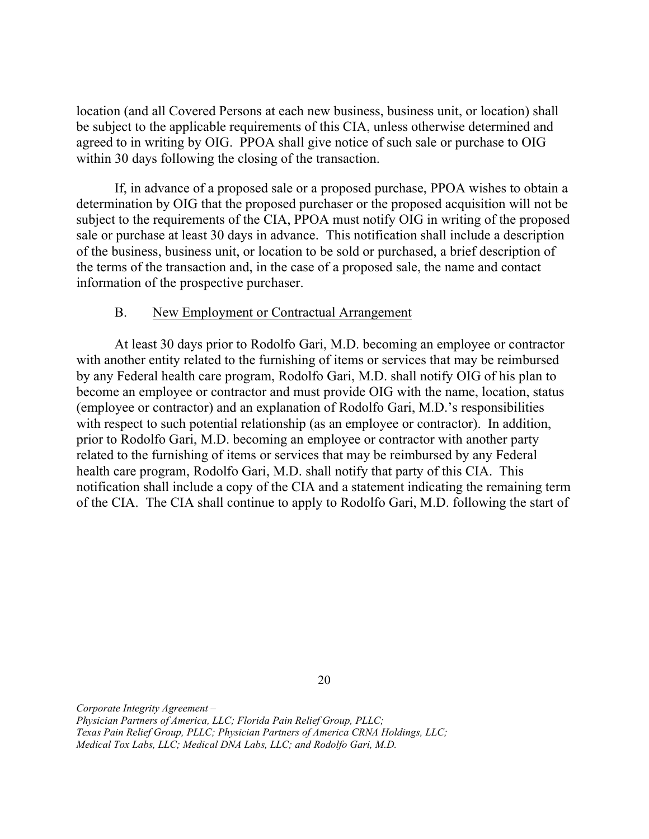location (and all Covered Persons at each new business, business unit, or location) shall be subject to the applicable requirements of this CIA, unless otherwise determined and agreed to in writing by OIG. PPOA shall give notice of such sale or purchase to OIG within 30 days following the closing of the transaction.

 If, in advance of a proposed sale or a proposed purchase, PPOA wishes to obtain a determination by OIG that the proposed purchaser or the proposed acquisition will not be subject to the requirements of the CIA, PPOA must notify OIG in writing of the proposed sale or purchase at least 30 days in advance. This notification shall include a description of the business, business unit, or location to be sold or purchased, a brief description of the terms of the transaction and, in the case of a proposed sale, the name and contact information of the prospective purchaser.

#### **B.** New Employment or Contractual Arrangement

 At least 30 days prior to Rodolfo Gari, M.D. becoming an employee or contractor with another entity related to the furnishing of items or services that may be reimbursed by any Federal health care program, Rodolfo Gari, M.D. shall notify OIG of his plan to become an employee or contractor and must provide OIG with the name, location, status (employee or contractor) and an explanation of Rodolfo Gari, M.D.'s responsibilities with respect to such potential relationship (as an employee or contractor). In addition, prior to Rodolfo Gari, M.D. becoming an employee or contractor with another party related to the furnishing of items or services that may be reimbursed by any Federal health care program, Rodolfo Gari, M.D. shall notify that party of this CIA. This notification shall include a copy of the CIA and a statement indicating the remaining term of the CIA. The CIA shall continue to apply to Rodolfo Gari, M.D. following the start of

20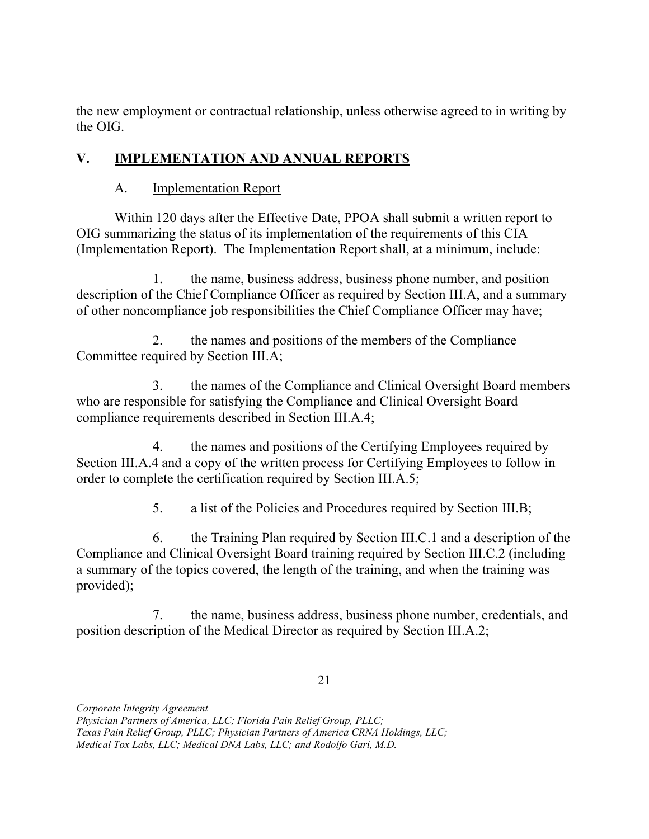the new employment or contractual relationship, unless otherwise agreed to in writing by the OIG.

# V. IMPLEMENTATION AND ANNUAL REPORTS

## A. **Implementation Report**

 Within 120 days after the Effective Date, PPOA shall submit a written report to OIG summarizing the status of its implementation of the requirements of this CIA (Implementation Report). The Implementation Report shall, at a minimum, include:

1. description of the Chief Compliance Officer as required by Section III.A, and a summary of other noncompliance job responsibilities the Chief Compliance Officer may have; the name, business address, business phone number, and position

 $2.$  Committee required by Section III.A; 2. the names and positions of the members of the Compliance

 who are responsible for satisfying the Compliance and Clinical Oversight Board compliance requirements described in Section III.A.4; 3. the names of the Compliance and Clinical Oversight Board members

 $\overline{4}$ . Section III.A.4 and a copy of the written process for Certifying Employees to follow in order to complete the certification required by Section III.A.5; the names and positions of the Certifying Employees required by

> 5. 5. a list of the Policies and Procedures required by Section III.B;

 $6<sup>1</sup>$  Compliance and Clinical Oversight Board training required by Section III.C.2 (including a summary of the topics covered, the length of the training, and when the training was 6. the Training Plan required by Section III.C.1 and a description of the provided);

 $7.$  position description of the Medical Director as required by Section III.A.2; 7. the name, business address, business phone number, credentials, and

21

 Physician Partners of America, LLC; Florida Pain Relief Group, PLLC;

 Texas Pain Relief Group, PLLC; Physician Partners of America CRNA Holdings, LLC;

 Medical Tox Labs, LLC; Medical DNA Labs, LLC; and Rodolfo Gari, M.D.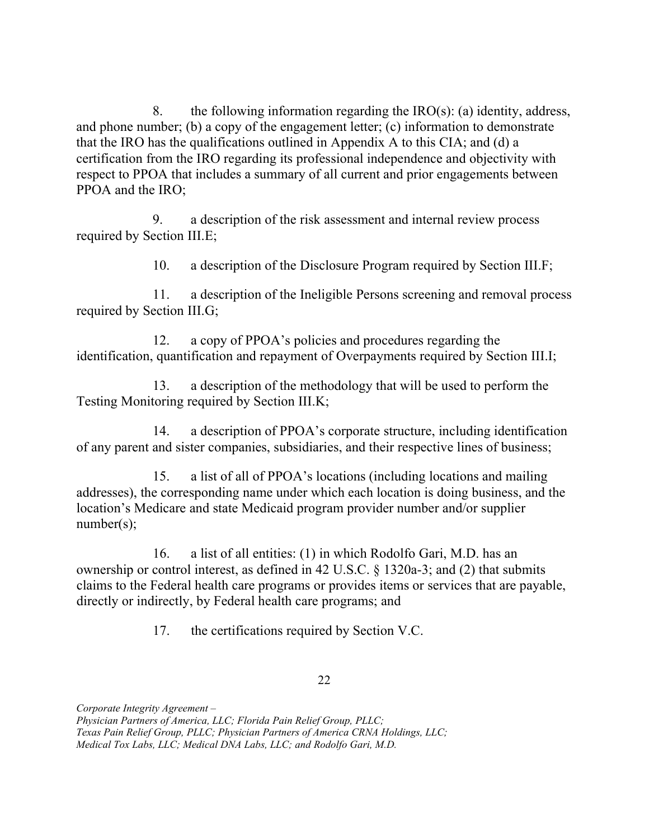8. and phone number; (b) a copy of the engagement letter; (c) information to demonstrate that the IRO has the qualifications outlined in Appendix A to this CIA; and (d) a certification from the IRO regarding its professional independence and objectivity with respect to PPOA that includes a summary of all current and prior engagements between PPOA and the IRO; the following information regarding the  $IRO(s)$ : (a) identity, address,

9 required by Section III.E; a description of the risk assessment and internal review process

> $10.$ a description of the Disclosure Program required by Section III.F;

 required by Section III.G; 11. a description of the Ineligible Persons screening and removal process

 $12.$  identification, quantification and repayment of Overpayments required by Section III.I; a copy of PPOA's policies and procedures regarding the

13. Testing Monitoring required by Section III.K; a description of the methodology that will be used to perform the

 $14.$  of any parent and sister companies, subsidiaries, and their respective lines of business; a description of PPOA's corporate structure, including identification

 $15<sub>1</sub>$  addresses), the corresponding name under which each location is doing business, and the location's Medicare and state Medicaid program provider number and/or supplier number(s); a list of all of PPOA's locations (including locations and mailing

16. ownership or control interest, as defined in 42 U.S.C. § 1320a-3; and (2) that submits claims to the Federal health care programs or provides items or services that are payable, directly or indirectly, by Federal health care programs; and a list of all entities: (1) in which Rodolfo Gari, M.D. has an

> 17. the certifications required by Section V.C.

> > 22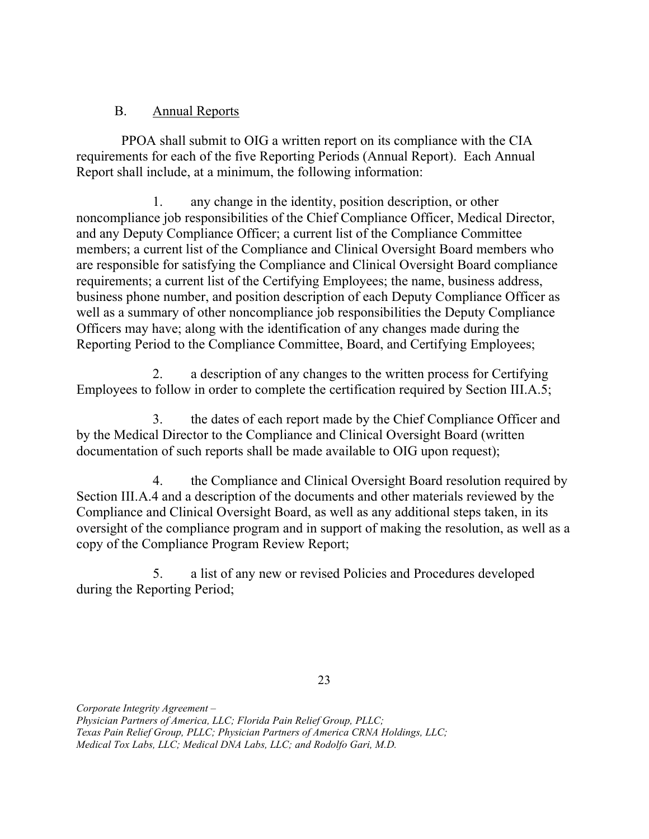#### $B<sub>1</sub>$ Annual Reports

 requirements for each of the five Reporting Periods (Annual Report). Each Annual Report shall include, at a minimum, the following information: PPOA shall submit to OIG a written report on its compliance with the CIA

1. noncompliance job responsibilities of the Chief Compliance Officer, Medical Director, and any Deputy Compliance Officer; a current list of the Compliance Committee members; a current list of the Compliance and Clinical Oversight Board members who are responsible for satisfying the Compliance and Clinical Oversight Board compliance requirements; a current list of the Certifying Employees; the name, business address, business phone number, and position description of each Deputy Compliance Officer as well as a summary of other noncompliance job responsibilities the Deputy Compliance Officers may have; along with the identification of any changes made during the Reporting Period to the Compliance Committee, Board, and Certifying Employees; any change in the identity, position description, or other

2. Employees to follow in order to complete the certification required by Section III.A.5; a description of any changes to the written process for Certifying

 $\overline{3}$ . by the Medical Director to the Compliance and Clinical Oversight Board (written documentation of such reports shall be made available to OIG upon request); the dates of each report made by the Chief Compliance Officer and

4. Section III.A.4 and a description of the documents and other materials reviewed by the Compliance and Clinical Oversight Board, as well as any additional steps taken, in its oversight of the compliance program and in support of making the resolution, as well as a copy of the Compliance Program Review Report; the Compliance and Clinical Oversight Board resolution required by

5. during the Reporting Period; a list of any new or revised Policies and Procedures developed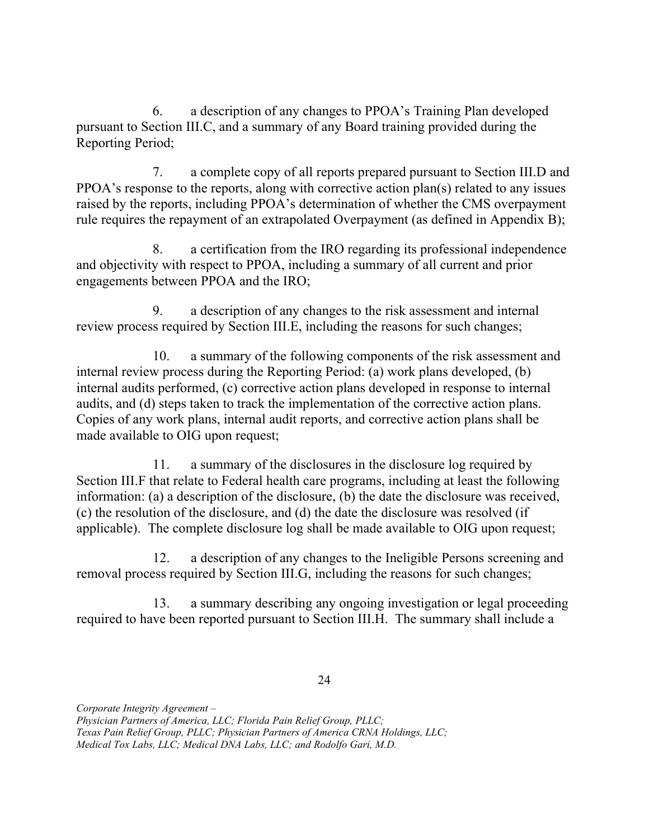6. pursuant to Section III.C, and a summary of any Board training provided during the Reporting Period; a description of any changes to PPOA's Training Plan developed

7. PPOA's response to the reports, along with corrective action plan(s) related to any issues raised by the reports, including PPOA's determination of whether the CMS overpayment rule requires the repayment of an extrapolated Overpayment (as defined in Appendix B); 7. a complete copy of all reports prepared pursuant to Section III.D and

 $8_{-}$  and objectivity with respect to PPOA, including a summary of all current and prior engagements between PPOA and the IRO; a certification from the IRO regarding its professional independence

9. review process required by Section III.E, including the reasons for such changes; a description of any changes to the risk assessment and internal

10. internal review process during the Reporting Period: (a) work plans developed, (b) audits, and (d) steps taken to track the implementation of the corrective action plans. Copies of any work plans, internal audit reports, and corrective action plans shall be made available to OIG upon request; a summary of the following components of the risk assessment and internal audits performed, (c) corrective action plans developed in response to internal

11. Section III.F that relate to Federal health care programs, including at least the following information: (a) a description of the disclosure, (b) the date the disclosure was received, (c) the resolution of the disclosure, and (d) the date the disclosure was resolved (if applicable). The complete disclosure log shall be made available to OIG upon request; a summary of the disclosures in the disclosure log required by

12. removal process required by Section III.G, including the reasons for such changes; a description of any changes to the Ineligible Persons screening and

13. required to have been reported pursuant to Section III.H. The summary shall include a a summary describing any ongoing investigation or legal proceeding

 Physician Partners of America, LLC; Florida Pain Relief Group, PLLC;

 Texas Pain Relief Group, PLLC; Physician Partners of America CRNA Holdings, LLC;

 Medical Tox Labs, LLC; Medical DNA Labs, LLC; and Rodolfo Gari, M.D.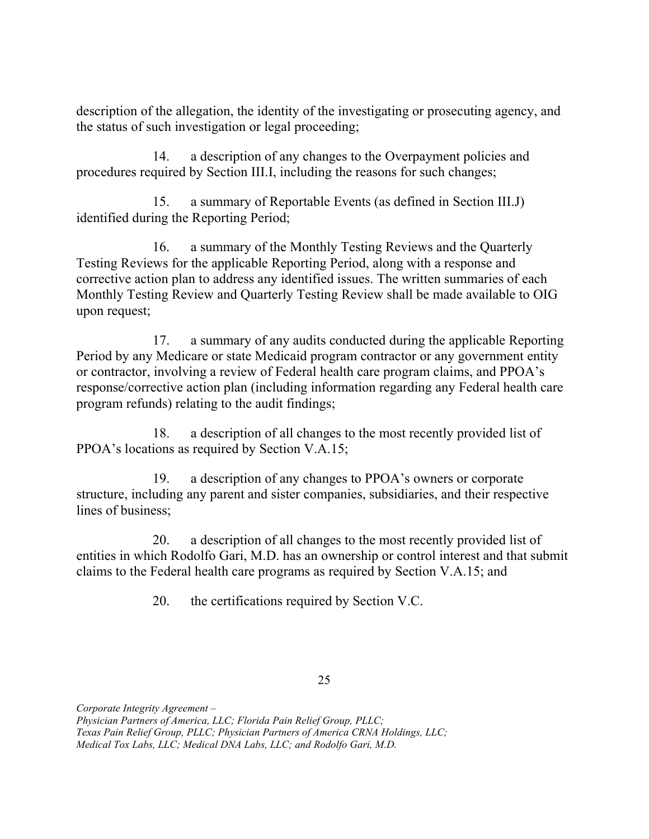description of the allegation, the identity of the investigating or prosecuting agency, and the status of such investigation or legal proceeding;

14. procedures required by Section III.I, including the reasons for such changes; a description of any changes to the Overpayment policies and

 $15.$  identified during the Reporting Period; a summary of Reportable Events (as defined in Section III.J)

 $16.$  Testing Reviews for the applicable Reporting Period, along with a response and corrective action plan to address any identified issues. The written summaries of each Monthly Testing Review and Quarterly Testing Review shall be made available to OIG upon request; a summary of the Monthly Testing Reviews and the Quarterly

17. Period by any Medicare or state Medicaid program contractor or any government entity or contractor, involving a review of Federal health care program claims, and PPOA's response/corrective action plan (including information regarding any Federal health care program refunds) relating to the audit findings; a summary of any audits conducted during the applicable Reporting

18. PPOA's locations as required by Section V.A.15; a description of all changes to the most recently provided list of

19. structure, including any parent and sister companies, subsidiaries, and their respective lines of business; a description of any changes to PPOA's owners or corporate

20. entities in which Rodolfo Gari, M.D. has an ownership or control interest and that submit claims to the Federal health care programs as required by Section V.A.15; and a description of all changes to the most recently provided list of

> 20. the certifications required by Section V.C.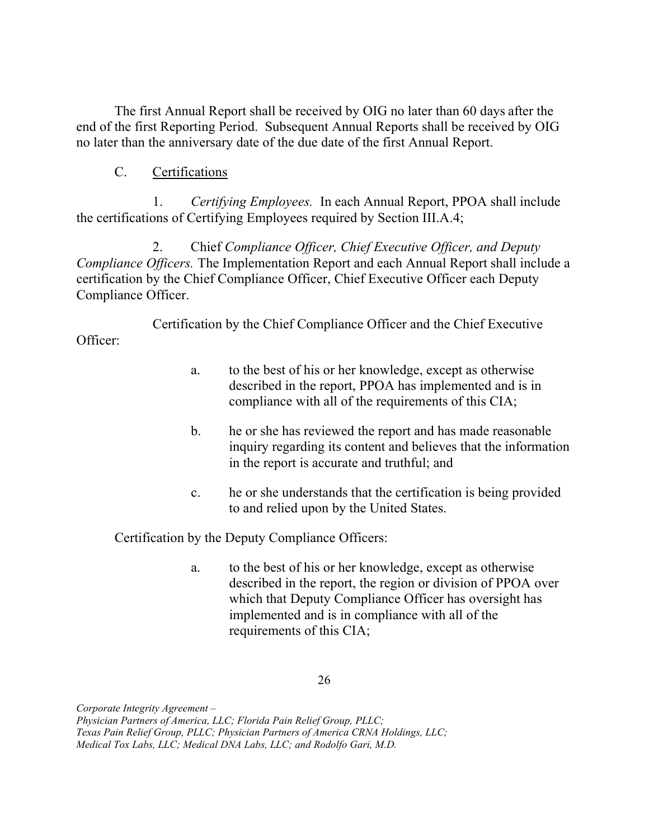The first Annual Report shall be received by OIG no later than 60 days after the end of the first Reporting Period. Subsequent Annual Reports shall be received by OIG no later than the anniversary date of the due date of the first Annual Report.

## C. Certifications

Officer:

1. Certifying Employees. In each Annual Report, PPOA shall include the certifications of Certifying Employees required by Section III.A.4;

2. Compliance Officers. The Implementation Report and each Annual Report shall include a certification by the Chief Compliance Officer, Chief Executive Officer each Deputy Compliance Officer. 2. Chief Compliance Officer, Chief Executive Officer, and Deputy

Certification by the Chief Compliance Officer and the Chief Executive

- a. described in the report, PPOA has implemented and is in compliance with all of the requirements of this CIA; to the best of his or her knowledge, except as otherwise
- $<sub>b</sub>$ .</sub> inquiry regarding its content and believes that the information in the report is accurate and truthful; and b. he or she has reviewed the report and has made reasonable
- $\mathbf{c}$ . to and relied upon by the United States. he or she understands that the certification is being provided

Certification by the Deputy Compliance Officers:

 described in the report, the region or division of PPOA over which that Deputy Compliance Officer has oversight has implemented and is in compliance with all of the requirements of this CIA; a. to the best of his or her knowledge, except as otherwise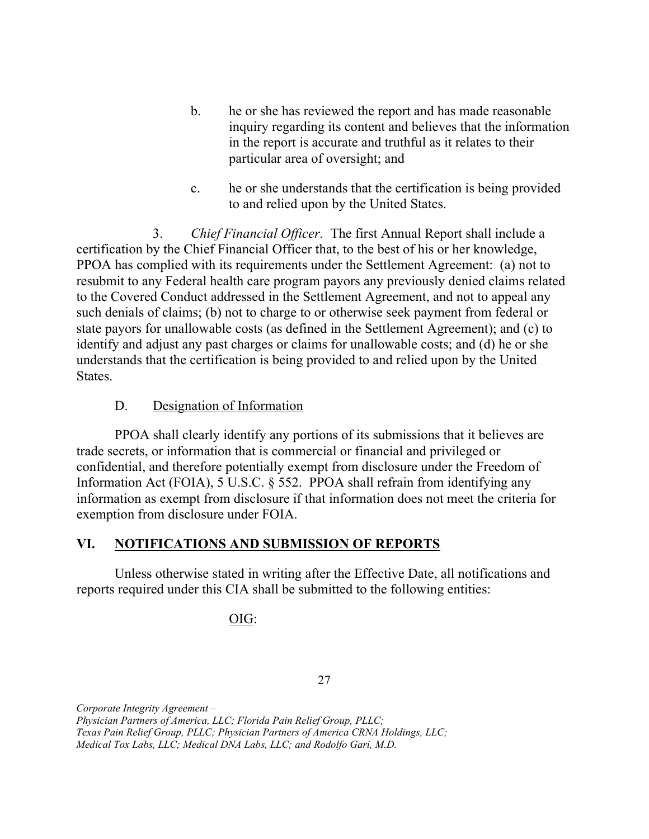- inquiry regarding its content and believes that the information in the report is accurate and truthful as it relates to their particular area of oversight; and b. he or she has reviewed the report and has made reasonable
- $\mathbf{c}$ . to and relied upon by the United States. he or she understands that the certification is being provided

3. Chief Financial Officer. The first Annual Report shall include a certification by the Chief Financial Officer that, to the best of his or her knowledge, PPOA has complied with its requirements under the Settlement Agreement: (a) not to resubmit to any Federal health care program payors any previously denied claims related to the Covered Conduct addressed in the Settlement Agreement, and not to appeal any such denials of claims; (b) not to charge to or otherwise seek payment from federal or state payors for unallowable costs (as defined in the Settlement Agreement); and (c) to identify and adjust any past charges or claims for unallowable costs; and (d) he or she understands that the certification is being provided to and relied upon by the United States.

### D. Designation of Information

 PPOA shall clearly identify any portions of its submissions that it believes are trade secrets, or information that is commercial or financial and privileged or confidential, and therefore potentially exempt from disclosure under the Freedom of Information Act (FOIA), 5 U.S.C. § 552. PPOA shall refrain from identifying any information as exempt from disclosure if that information does not meet the criteria for exemption from disclosure under FOIA.

### VI. NOTIFICATIONS AND SUBMISSION OF REPORTS

 Unless otherwise stated in writing after the Effective Date, all notifications and reports required under this CIA shall be submitted to the following entities:

## OIG:

27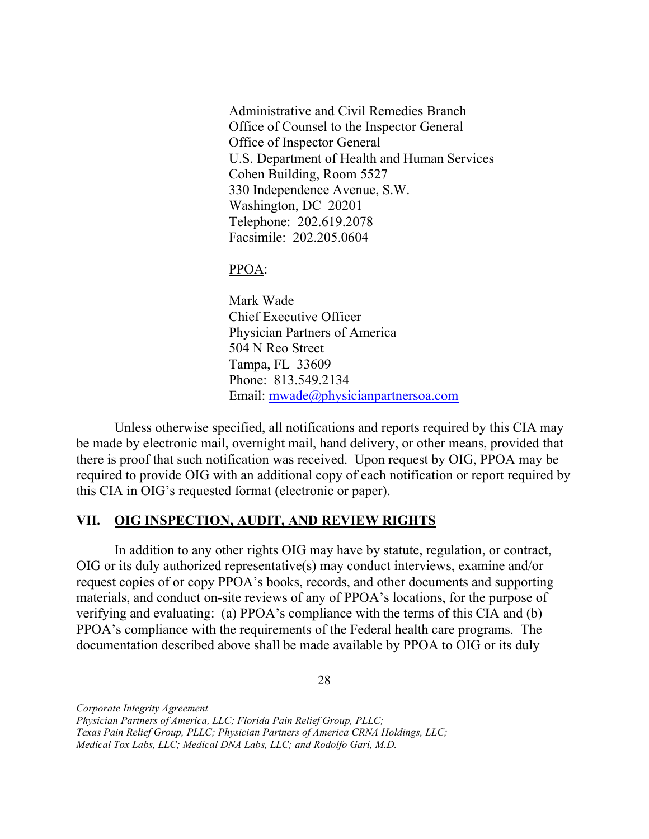Administrative and Civil Remedies Branch Office of Counsel to the Inspector General Office of Inspector General U.S. Department of Health and Human Services Cohen Building, Room 5527 330 Independence Avenue, S.W. Washington, DC 20201 Telephone: 202.619.2078 Facsimile: 202.205.0604

#### PPOA:

 Mark Wade Chief Executive Officer Physician Partners of America 504 N Reo Street Tampa, FL 33609 Phone: 813.549.2134 Email: [mwade@physicianpartnersoa.com](mailto:mwade@physicianpartnersoa.com)

 Unless otherwise specified, all notifications and reports required by this CIA may be made by electronic mail, overnight mail, hand delivery, or other means, provided that there is proof that such notification was received. Upon request by OIG, PPOA may be required to provide OIG with an additional copy of each notification or report required by this CIA in OIG's requested format (electronic or paper).

#### VII. **OIG INSPECTION, AUDIT, AND REVIEW RIGHTS**

 In addition to any other rights OIG may have by statute, regulation, or contract, OIG or its duly authorized representative(s) may conduct interviews, examine and/or request copies of or copy PPOA's books, records, and other documents and supporting materials, and conduct on-site reviews of any of PPOA's locations, for the purpose of verifying and evaluating: (a) PPOA's compliance with the terms of this CIA and (b) PPOA's compliance with the requirements of the Federal health care programs. The documentation described above shall be made available by PPOA to OIG or its duly

28

 Physician Partners of America, LLC; Florida Pain Relief Group, PLLC;

 Texas Pain Relief Group, PLLC; Physician Partners of America CRNA Holdings, LLC;

 Medical Tox Labs, LLC; Medical DNA Labs, LLC; and Rodolfo Gari, M.D.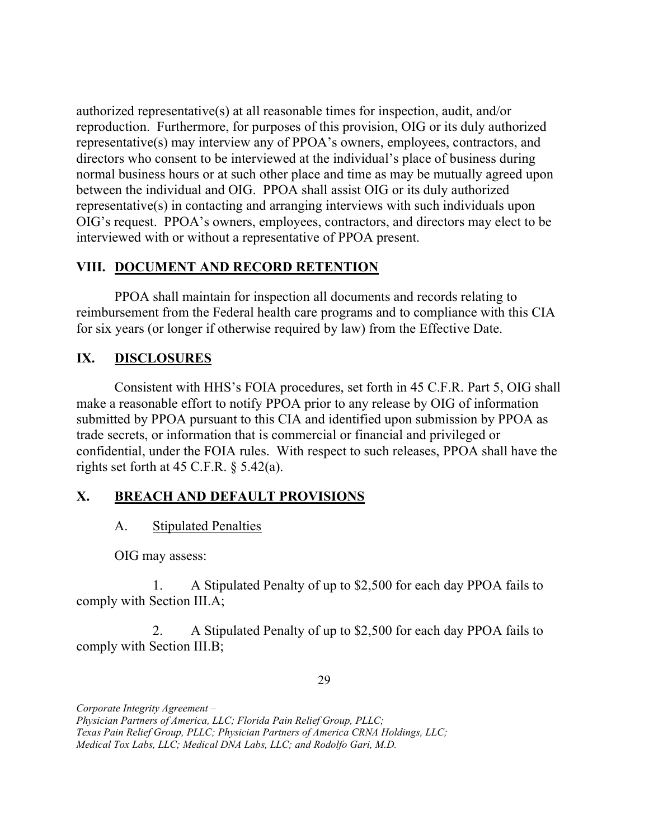authorized representative(s) at all reasonable times for inspection, audit, and/or reproduction. Furthermore, for purposes of this provision, OIG or its duly authorized representative(s) may interview any of PPOA's owners, employees, contractors, and directors who consent to be interviewed at the individual's place of business during normal business hours or at such other place and time as may be mutually agreed upon between the individual and OIG. PPOA shall assist OIG or its duly authorized representative(s) in contacting and arranging interviews with such individuals upon OIG's request. PPOA's owners, employees, contractors, and directors may elect to be interviewed with or without a representative of PPOA present.

## VIII. DOCUMENT AND RECORD RETENTION

 PPOA shall maintain for inspection all documents and records relating to reimbursement from the Federal health care programs and to compliance with this CIA for six years (or longer if otherwise required by law) from the Effective Date.

#### IX. **DISCLOSURES**

 Consistent with HHS's FOIA procedures, set forth in 45 C.F.R. Part 5, OIG shall make a reasonable effort to notify PPOA prior to any release by OIG of information submitted by PPOA pursuant to this CIA and identified upon submission by PPOA as trade secrets, or information that is commercial or financial and privileged or confidential, under the FOIA rules. With respect to such releases, PPOA shall have the rights set forth at  $45$  C.F.R.  $\S$  5.42(a).

## X. BREACH AND DEFAULT PROVISIONS

## A. Stipulated Penalties

OIG may assess:

 $1<sub>1</sub>$  comply with Section III.A; 1. A Stipulated Penalty of up to \$2,500 for each day PPOA fails to

 comply with Section III.B; 2. A Stipulated Penalty of up to \$2,500 for each day PPOA fails to

29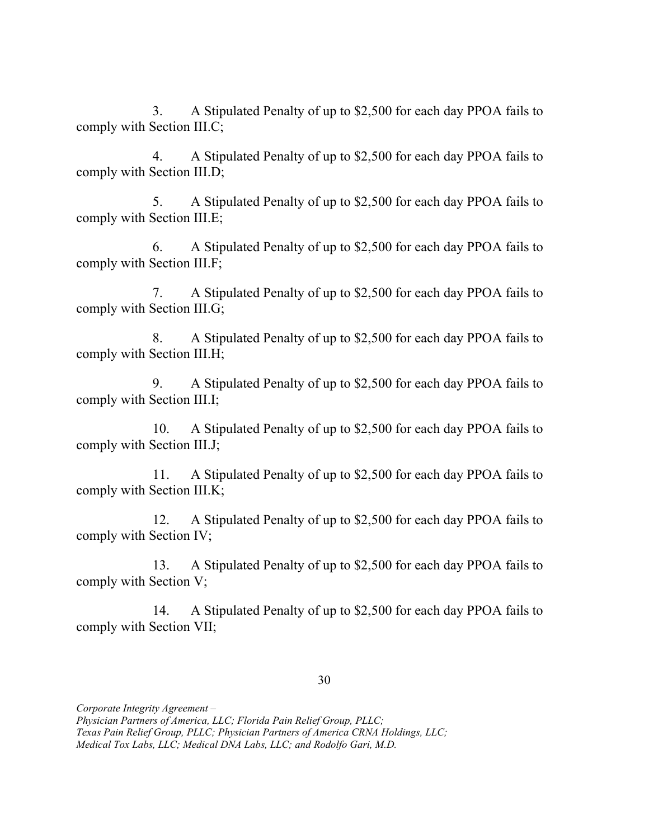$3.$  comply with Section III.C; 3. A Stipulated Penalty of up to \$2,500 for each day PPOA fails to

 comply with Section III.D; 4. A Stipulated Penalty of up to \$2,500 for each day PPOA fails to

 comply with Section III.E; 5. A Stipulated Penalty of up to \$2,500 for each day PPOA fails to

 comply with Section III.F; 6. A Stipulated Penalty of up to \$2,500 for each day PPOA fails to

 comply with Section III.G; 7. A Stipulated Penalty of up to \$2,500 for each day PPOA fails to

 comply with Section III.H; 8. A Stipulated Penalty of up to \$2,500 for each day PPOA fails to

 comply with Section III.I; 9. A Stipulated Penalty of up to \$2,500 for each day PPOA fails to

10. comply with Section III.J; A Stipulated Penalty of up to \$2,500 for each day PPOA fails to

 comply with Section III.K; 11. A Stipulated Penalty of up to \$2,500 for each day PPOA fails to

 comply with Section IV; 12. A Stipulated Penalty of up to \$2,500 for each day PPOA fails to

 comply with Section V; 13. A Stipulated Penalty of up to \$2,500 for each day PPOA fails to

 comply with Section VII; 14. A Stipulated Penalty of up to \$2,500 for each day PPOA fails to

Corporate Integrity Agreement –

Texas Pain Relief Group, PLLC; Physician Partners of America CRNA Holdings, LLC;

 Physician Partners of America, LLC; Florida Pain Relief Group, PLLC;

 Medical Tox Labs, LLC; Medical DNA Labs, LLC; and Rodolfo Gari, M.D.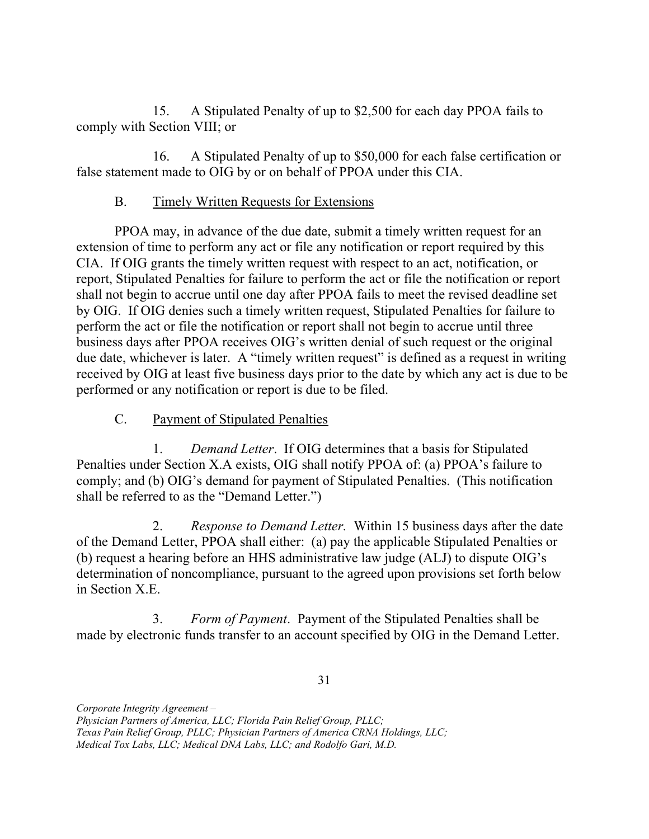15. comply with Section VIII; or A Stipulated Penalty of up to \$2,500 for each day PPOA fails to

16. false statement made to OIG by or on behalf of PPOA under this CIA. A Stipulated Penalty of up to \$50,000 for each false certification or

#### **B.** Timely Written Requests for Extensions

 PPOA may, in advance of the due date, submit a timely written request for an extension of time to perform any act or file any notification or report required by this CIA. If OIG grants the timely written request with respect to an act, notification, or report, Stipulated Penalties for failure to perform the act or file the notification or report shall not begin to accrue until one day after PPOA fails to meet the revised deadline set by OIG. If OIG denies such a timely written request, Stipulated Penalties for failure to perform the act or file the notification or report shall not begin to accrue until three business days after PPOA receives OIG's written denial of such request or the original due date, whichever is later. A "timely written request" is defined as a request in writing received by OIG at least five business days prior to the date by which any act is due to be performed or any notification or report is due to be filed.

C. Payment of Stipulated Penalties

1. Demand Letter. If OIG determines that a basis for Stipulated Penalties under Section X.A exists, OIG shall notify PPOA of: (a) PPOA's failure to comply; and (b) OIG's demand for payment of Stipulated Penalties. (This notification shall be referred to as the "Demand Letter.")

2. Response to Demand Letter. Within 15 business days after the date of the Demand Letter, PPOA shall either: (a) pay the applicable Stipulated Penalties or (b) request a hearing before an HHS administrative law judge (ALJ) to dispute OIG's determination of noncompliance, pursuant to the agreed upon provisions set forth below in Section X.E.

3. Form of Payment. Payment of the Stipulated Penalties shall be made by electronic funds transfer to an account specified by OIG in the Demand Letter.

31

 Physician Partners of America, LLC; Florida Pain Relief Group, PLLC;

 Texas Pain Relief Group, PLLC; Physician Partners of America CRNA Holdings, LLC;

 Medical Tox Labs, LLC; Medical DNA Labs, LLC; and Rodolfo Gari, M.D.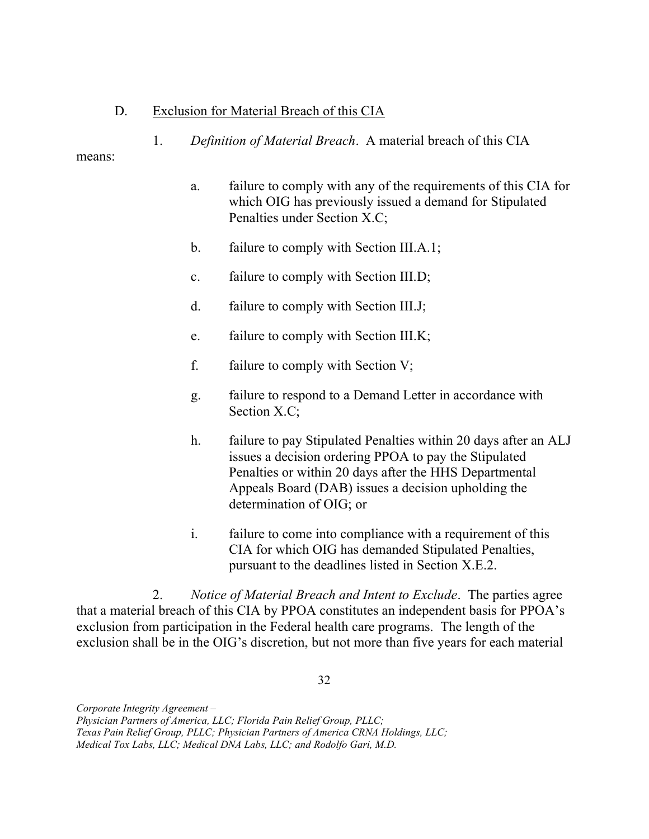### D. Exclusion for Material Breach of this CIA

1. Definition of Material Breach. A material breach of this CIA

#### means:

- a. which OIG has previously issued a demand for Stipulated Penalties under Section X.C; failure to comply with any of the requirements of this CIA for
- $\mathbf{b}$ . failure to comply with Section III.A.1;
- $\mathbf{c}$ . failure to comply with Section III.D;
- $d_{-}$ failure to comply with Section III.J;
- e. failure to comply with Section III.K;
- f. failure to comply with Section  $V$ ;
- g. Section X.C; failure to respond to a Demand Letter in accordance with
- $h_{\cdot}$  issues a decision ordering PPOA to pay the Stipulated Penalties or within 20 days after the HHS Departmental Appeals Board (DAB) issues a decision upholding the determination of OIG; or failure to pay Stipulated Penalties within 20 days after an ALJ
- $\mathbf{i}$ . CIA for which OIG has demanded Stipulated Penalties, pursuant to the deadlines listed in Section X.E.2. failure to come into compliance with a requirement of this

2. Notice of Material Breach and Intent to Exclude. The parties agree that a material breach of this CIA by PPOA constitutes an independent basis for PPOA's exclusion from participation in the Federal health care programs. The length of the exclusion shall be in the OIG's discretion, but not more than five years for each material

32

 Physician Partners of America, LLC; Florida Pain Relief Group, PLLC;

 Texas Pain Relief Group, PLLC; Physician Partners of America CRNA Holdings, LLC;

 Medical Tox Labs, LLC; Medical DNA Labs, LLC; and Rodolfo Gari, M.D.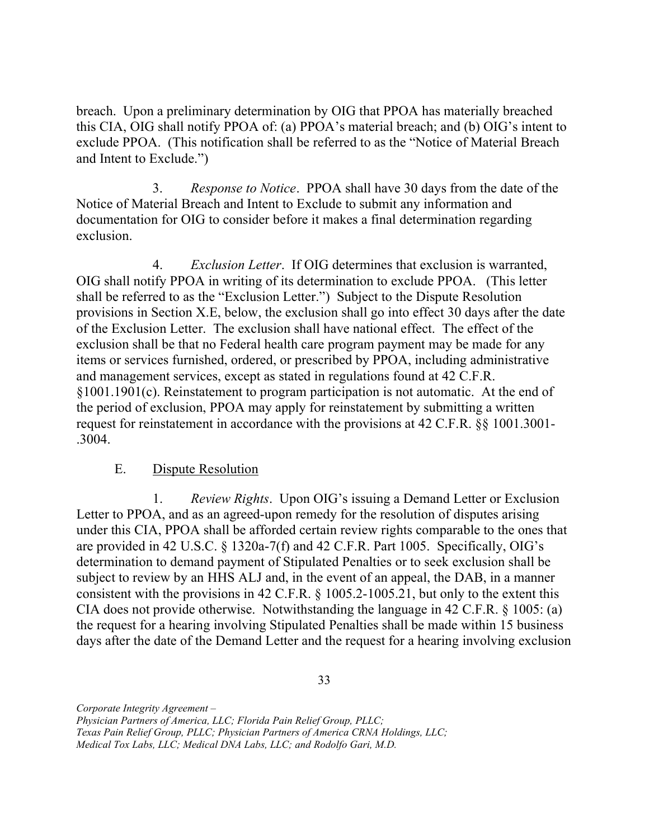breach. Upon a preliminary determination by OIG that PPOA has materially breached this CIA, OIG shall notify PPOA of: (a) PPOA's material breach; and (b) OIG's intent to exclude PPOA. (This notification shall be referred to as the "Notice of Material Breach and Intent to Exclude.")

3. Response to Notice. PPOA shall have 30 days from the date of the Notice of Material Breach and Intent to Exclude to submit any information and documentation for OIG to consider before it makes a final determination regarding exclusion.

4. Exclusion Letter. If OIG determines that exclusion is warranted, OIG shall notify PPOA in writing of its determination to exclude PPOA. (This letter shall be referred to as the "Exclusion Letter.") Subject to the Dispute Resolution provisions in Section X.E, below, the exclusion shall go into effect 30 days after the date of the Exclusion Letter. The exclusion shall have national effect. The effect of the exclusion shall be that no Federal health care program payment may be made for any items or services furnished, ordered, or prescribed by PPOA, including administrative and management services, except as stated in regulations found at 42 C.F.R. §1001.1901(c). Reinstatement to program participation is not automatic. At the end of the period of exclusion, PPOA may apply for reinstatement by submitting a written request for reinstatement in accordance with the provisions at 42 C.F.R. §§ 1001.3001- .3004.

#### $E_{\cdot}$ Dispute Resolution

1. Review Rights. Upon OIG's issuing a Demand Letter or Exclusion Letter to PPOA, and as an agreed-upon remedy for the resolution of disputes arising under this CIA, PPOA shall be afforded certain review rights comparable to the ones that are provided in 42 U.S.C. § 1320a-7(f) and 42 C.F.R. Part 1005. Specifically, OIG's determination to demand payment of Stipulated Penalties or to seek exclusion shall be subject to review by an HHS ALJ and, in the event of an appeal, the DAB, in a manner consistent with the provisions in 42 C.F.R. § [1005.2-1005.21,](https://1005.2-1005.21) but only to the extent this CIA does not provide otherwise. Notwithstanding the language in 42 C.F.R. § 1005: (a) the request for a hearing involving Stipulated Penalties shall be made within 15 business days after the date of the Demand Letter and the request for a hearing involving exclusion

33

 Physician Partners of America, LLC; Florida Pain Relief Group, PLLC;

 Texas Pain Relief Group, PLLC; Physician Partners of America CRNA Holdings, LLC;

 Medical Tox Labs, LLC; Medical DNA Labs, LLC; and Rodolfo Gari, M.D.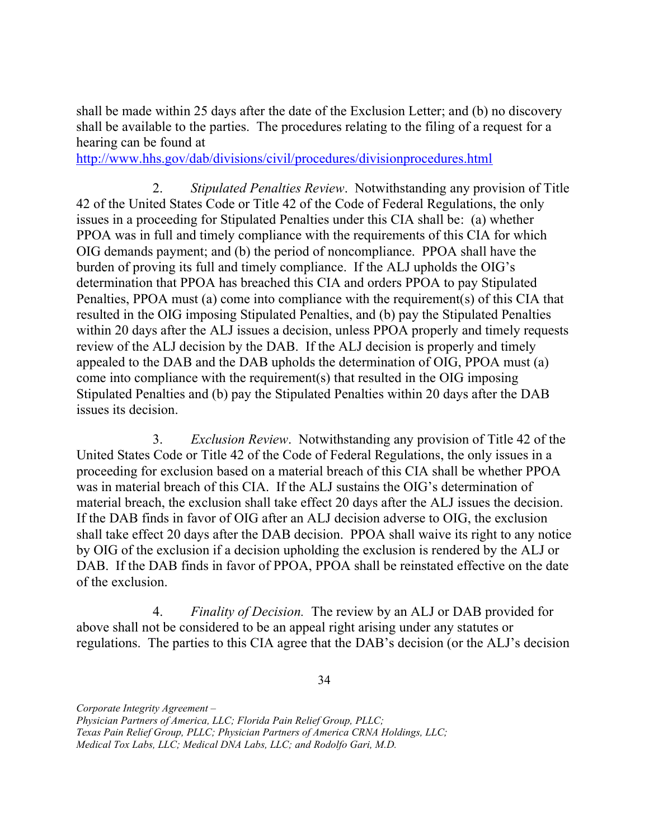shall be made within 25 days after the date of the Exclusion Letter; and (b) no discovery shall be available to the parties. The procedures relating to the filing of a request for a hearing can be found at

<http://www.hhs.gov/dab/divisions/civil/procedures/divisionprocedures.html>

2. Stipulated Penalties Review. Notwithstanding any provision of Title 42 of the United States Code or Title 42 of the Code of Federal Regulations, the only issues in a proceeding for Stipulated Penalties under this CIA shall be: (a) whether PPOA was in full and timely compliance with the requirements of this CIA for which OIG demands payment; and (b) the period of noncompliance. PPOA shall have the burden of proving its full and timely compliance. If the ALJ upholds the OIG's determination that PPOA has breached this CIA and orders PPOA to pay Stipulated Penalties, PPOA must (a) come into compliance with the requirement(s) of this CIA that resulted in the OIG imposing Stipulated Penalties, and (b) pay the Stipulated Penalties within 20 days after the ALJ issues a decision, unless PPOA properly and timely requests review of the ALJ decision by the DAB. If the ALJ decision is properly and timely appealed to the DAB and the DAB upholds the determination of OIG, PPOA must (a) come into compliance with the requirement(s) that resulted in the OIG imposing Stipulated Penalties and (b) pay the Stipulated Penalties within 20 days after the DAB issues its decision.

3. Exclusion Review. Notwithstanding any provision of Title 42 of the United States Code or Title 42 of the Code of Federal Regulations, the only issues in a proceeding for exclusion based on a material breach of this CIA shall be whether PPOA was in material breach of this CIA. If the ALJ sustains the OIG's determination of material breach, the exclusion shall take effect 20 days after the ALJ issues the decision. If the DAB finds in favor of OIG after an ALJ decision adverse to OIG, the exclusion shall take effect 20 days after the DAB decision. PPOA shall waive its right to any notice by OIG of the exclusion if a decision upholding the exclusion is rendered by the ALJ or DAB. If the DAB finds in favor of PPOA, PPOA shall be reinstated effective on the date of the exclusion.

4. Finality of Decision. The review by an ALJ or DAB provided for above shall not be considered to be an appeal right arising under any statutes or regulations. The parties to this CIA agree that the DAB's decision (or the ALJ's decision

34

Corporate Integrity Agreement –

Physician Partners of America, LLC; Florida Pain Relief Group, PLLC;

Texas Pain Relief Group, PLLC; Physician Partners of America CRNA Holdings, LLC;

 Medical Tox Labs, LLC; Medical DNA Labs, LLC; and Rodolfo Gari, M.D.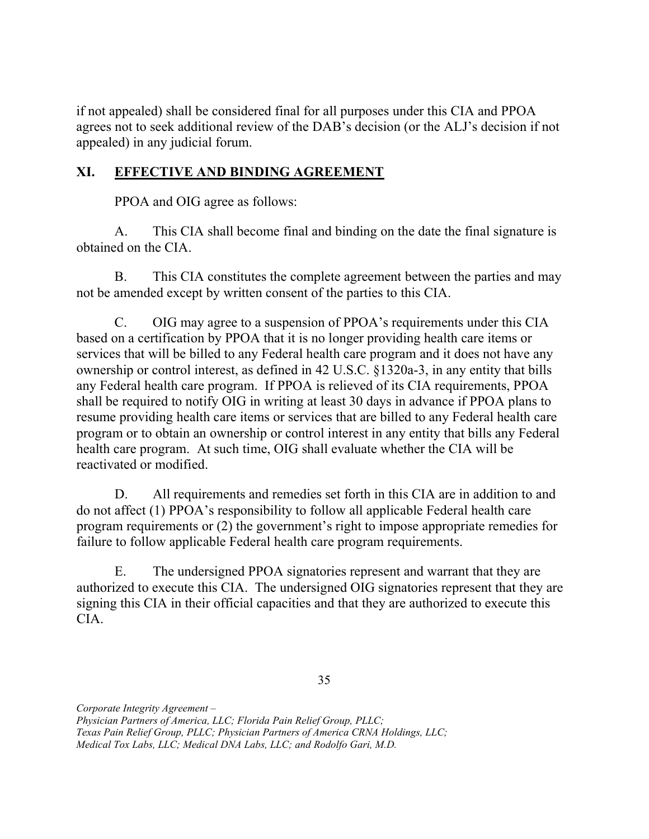if not appealed) shall be considered final for all purposes under this CIA and PPOA agrees not to seek additional review of the DAB's decision (or the ALJ's decision if not appealed) in any judicial forum.

## XI. EFFECTIVE AND BINDING AGREEMENT

PPOA and OIG agree as follows:

А. obtained on the CIA. This CIA shall become final and binding on the date the final signature is

 $B<sub>r</sub>$  not be amended except by written consent of the parties to this CIA. This CIA constitutes the complete agreement between the parties and may

 $C_{\cdot}$  based on a certification by PPOA that it is no longer providing health care items or services that will be billed to any Federal health care program and it does not have any ownership or control interest, as defined in 42 U.S.C. §1320a-3, in any entity that bills any Federal health care program. If PPOA is relieved of its CIA requirements, PPOA shall be required to notify OIG in writing at least 30 days in advance if PPOA plans to resume providing health care items or services that are billed to any Federal health care program or to obtain an ownership or control interest in any entity that bills any Federal health care program. At such time, OIG shall evaluate whether the CIA will be reactivated or modified. OIG may agree to a suspension of PPOA's requirements under this CIA

D. do not affect (1) PPOA's responsibility to follow all applicable Federal health care program requirements or (2) the government's right to impose appropriate remedies for failure to follow applicable Federal health care program requirements. All requirements and remedies set forth in this CIA are in addition to and

 $E.$  authorized to execute this CIA. The undersigned OIG signatories represent that they are signing this CIA in their official capacities and that they are authorized to execute this The undersigned PPOA signatories represent and warrant that they are CIA.

 Physician Partners of America, LLC; Florida Pain Relief Group, PLLC; Texas Pain Relief Group, PLLC; Physician Partners of America CRNA Holdings, LLC; Medical Tox Labs, LLC; Medical DNA Labs, LLC; and Rodolfo Gari, M.D.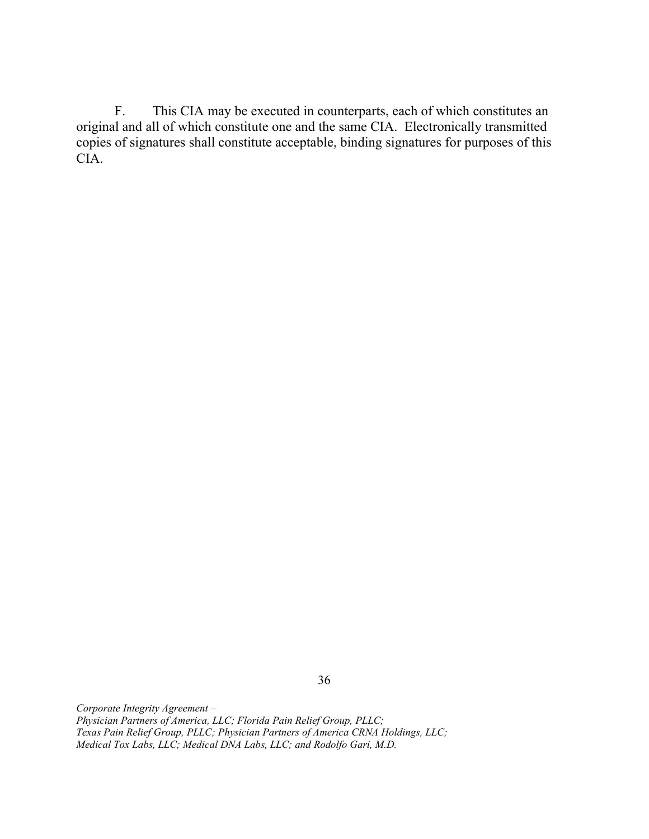$F.$  original and all of which constitute one and the same CIA. Electronically transmitted copies of signatures shall constitute acceptable, binding signatures for purposes of this This CIA may be executed in counterparts, each of which constitutes an CIA.

 Corporate Integrity Agreement – Physician Partners of America, LLC; Florida Pain Relief Group, PLLC; Texas Pain Relief Group, PLLC; Physician Partners of America CRNA Holdings, LLC; Medical Tox Labs, LLC; Medical DNA Labs, LLC; and Rodolfo Gari, M.D.

36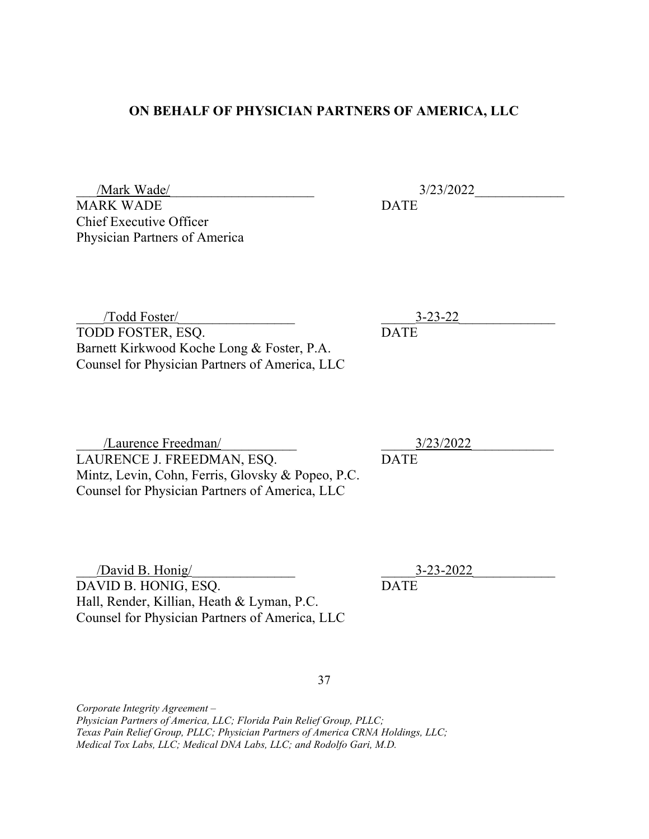#### ON BEHALF OF PHYSICIAN PARTNERS OF AMERICA, LLC

 MARK WADE Chief Executive Officer Physician Partners of America

/Mark Wade/ 2022 DATE

 $3-23-22$ 

 TODD FOSTER, ESQ. Barnett Kirkwood Koche Long & Foster, P.A. Counsel for Physician Partners of America, LLC \_\_\_\_/Todd Foster/\_\_\_\_\_\_\_\_\_\_\_\_\_\_\_\_\_

 LAURENCE J. FREEDMAN, ESQ. Mintz, Levin, Cohn, Ferris, Glovsky & Popeo, P.C. Counsel for Physician Partners of America, LLC /Laurence Freedman/

 $\Delta$ David B. Honig/ DAVID B. HONIG, ESQ. Hall, Render, Killian, Heath & Lyman, P.C. Counsel for Physician Partners of America, LLC

\_\_\_\_\_3/23/2022\_\_\_\_\_\_\_\_\_\_\_\_

DATE

\_\_\_\_\_3-23-2022\_\_\_\_\_\_\_\_\_\_\_\_

**DATE** 

37

 Corporate Integrity Agreement – Physician Partners of America, LLC; Florida Pain Relief Group, PLLC; Texas Pain Relief Group, PLLC; Physician Partners of America CRNA Holdings, LLC; Medical Tox Labs, LLC; Medical DNA Labs, LLC; and Rodolfo Gari, M.D.

**DATE**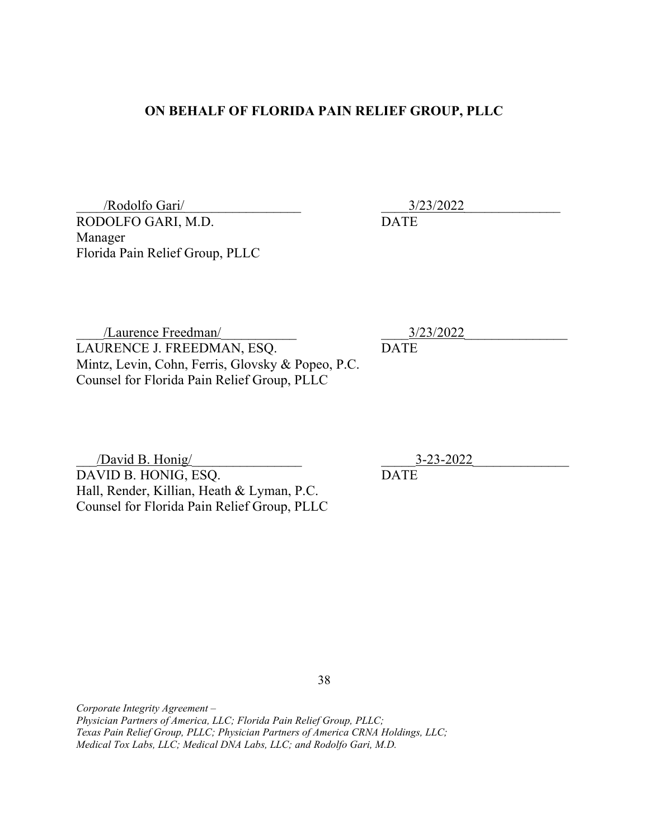#### ON BEHALF OF FLORIDA PAIN RELIEF GROUP, PLLC

 RODOLFO GARI, M.D. Florida Pain Relief Group, PLLC \_\_\_\_/Rodolfo Gari/\_\_\_\_\_\_\_\_\_\_\_\_\_\_\_\_\_ Manager

\_\_\_\_3/23/2022\_\_\_\_\_\_\_\_\_\_\_\_\_\_

\_\_\_\_3/23/2022\_\_\_\_\_\_\_\_\_\_\_\_\_\_\_

DATE

DATE

 LAURENCE J. FREEDMAN, ESQ. Mintz, Levin, Cohn, Ferris, Glovsky & Popeo, P.C. Counsel for Florida Pain Relief Group, PLLC /Laurence Freedman/

 \_\_\_/David B. Honig/\_\_\_\_\_\_\_\_\_\_\_\_\_\_\_\_ DAVID B. HONIG, ESQ. Hall, Render, Killian, Heath & Lyman, P.C. Counsel for Florida Pain Relief Group, PLLC \_\_\_\_\_3-23-2022\_\_\_\_\_\_\_\_\_\_\_\_\_\_

DATE

38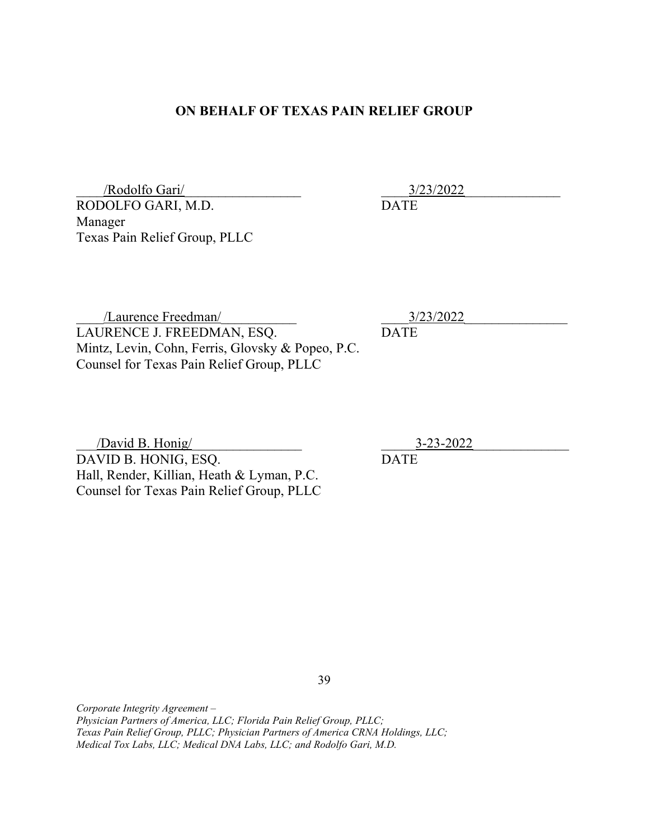#### ON BEHALF OF TEXAS PAIN RELIEF GROUP

 RODOLFO GARI, M.D. Texas Pain Relief Group, PLLC \_\_\_\_/Rodolfo Gari/\_\_\_\_\_\_\_\_\_\_\_\_\_\_\_\_\_ Manager

\_\_\_\_3/23/2022\_\_\_\_\_\_\_\_\_\_\_\_\_\_ DATE

 LAURENCE J. FREEDMAN, ESQ. Mintz, Levin, Cohn, Ferris, Glovsky & Popeo, P.C. Counsel for Texas Pain Relief Group, PLLC /Laurence Freedman/

\_\_\_\_\_3-23-2022\_\_\_\_\_\_\_\_\_\_\_\_\_\_

 \_\_\_/David B. Honig/\_\_\_\_\_\_\_\_\_\_\_\_\_\_\_\_ DAVID B. HONIG, ESQ. Hall, Render, Killian, Heath & Lyman, P.C. Counsel for Texas Pain Relief Group, PLLC

39

 Corporate Integrity Agreement – Physician Partners of America, LLC; Florida Pain Relief Group, PLLC; Texas Pain Relief Group, PLLC; Physician Partners of America CRNA Holdings, LLC; Medical Tox Labs, LLC; Medical DNA Labs, LLC; and Rodolfo Gari, M.D.

DATE

\_\_\_\_3/23/2022\_\_\_\_\_\_\_\_\_\_\_\_\_\_\_ DATE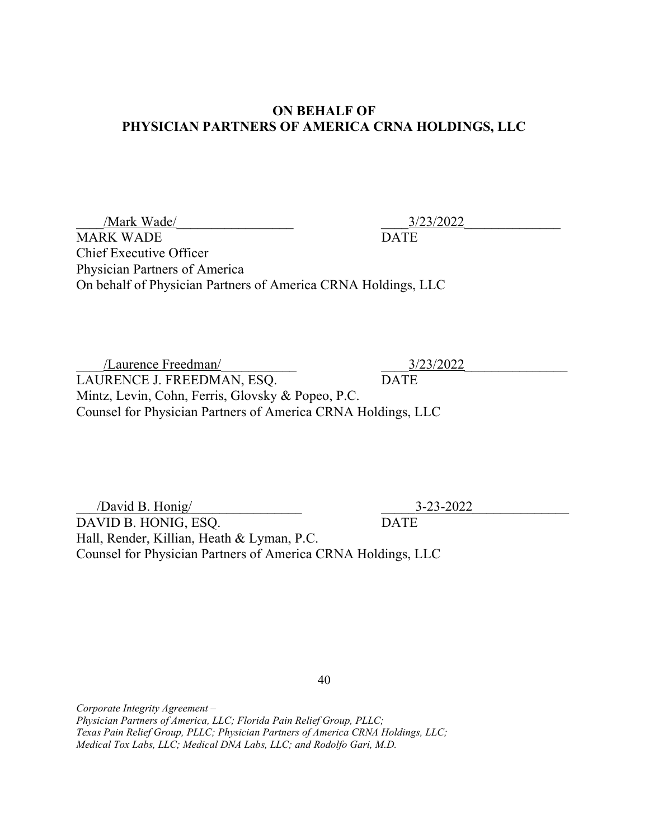### ON BEHALF OF PHYSICIAN PARTNERS OF AMERICA CRNA HOLDINGS, LLC

MARK WADE DATE Chief Executive Officer Physician Partners of America On behalf of Physician Partners of America CRNA Holdings, LLC /Mark Wade/ 2/23/2022

 LAURENCE J. FREEDMAN, ESQ. DATE Mintz, Levin, Cohn, Ferris, Glovsky & Popeo, P.C. Counsel for Physician Partners of America CRNA Holdings, LLC /Laurence Freedman/ 2/23/2022

 \_\_\_/David B. Honig/\_\_\_\_\_\_\_\_\_\_\_\_\_\_\_\_ \_\_\_\_\_3-23-2022\_\_\_\_\_\_\_\_\_\_\_\_\_\_ DAVID B. HONIG, ESQ. DATE Hall, Render, Killian, Heath & Lyman, P.C. Counsel for Physician Partners of America CRNA Holdings, LLC

40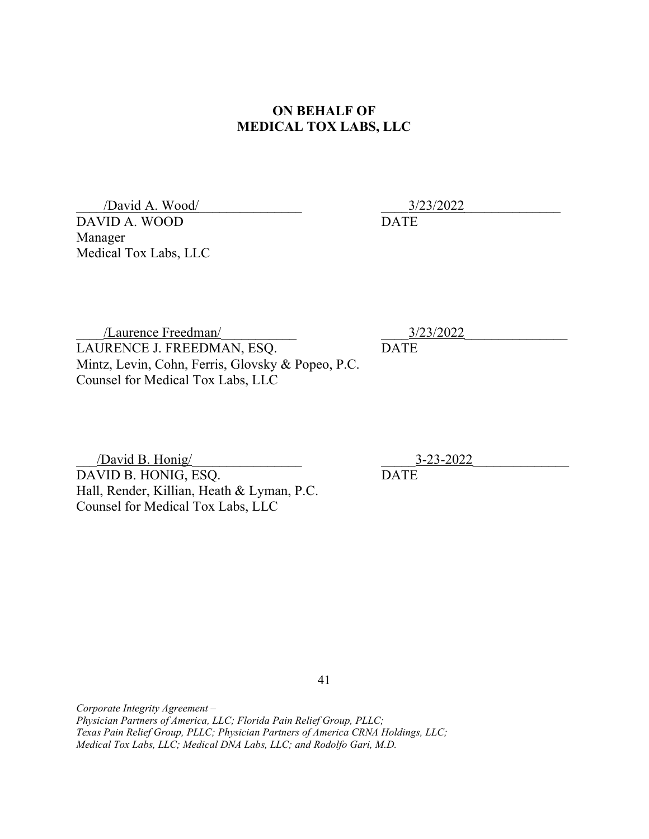### ON BEHALF OF MEDICAL TOX LABS, LLC

 \_\_\_\_/David A. Wood/\_\_\_\_\_\_\_\_\_\_\_\_\_\_\_ DAVID A. WOOD Manager Medical Tox Labs, LLC

\_\_\_\_3/23/2022\_\_\_\_\_\_\_\_\_\_\_\_\_\_

DATE

 LAURENCE J. FREEDMAN, ESQ. Mintz, Levin, Cohn, Ferris, Glovsky & Popeo, P.C. Counsel for Medical Tox Labs, LLC /Laurence Freedman/

 \_\_\_/David B. Honig/\_\_\_\_\_\_\_\_\_\_\_\_\_\_\_\_ DAVID B. HONIG, ESQ. Hall, Render, Killian, Heath & Lyman, P.C. Counsel for Medical Tox Labs, LLC

\_\_\_\_3/23/2022\_\_\_\_\_\_\_\_\_\_\_\_\_\_\_ DATE

\_\_\_\_\_3-23-2022\_\_\_\_\_\_\_\_\_\_\_\_\_\_

DATE

41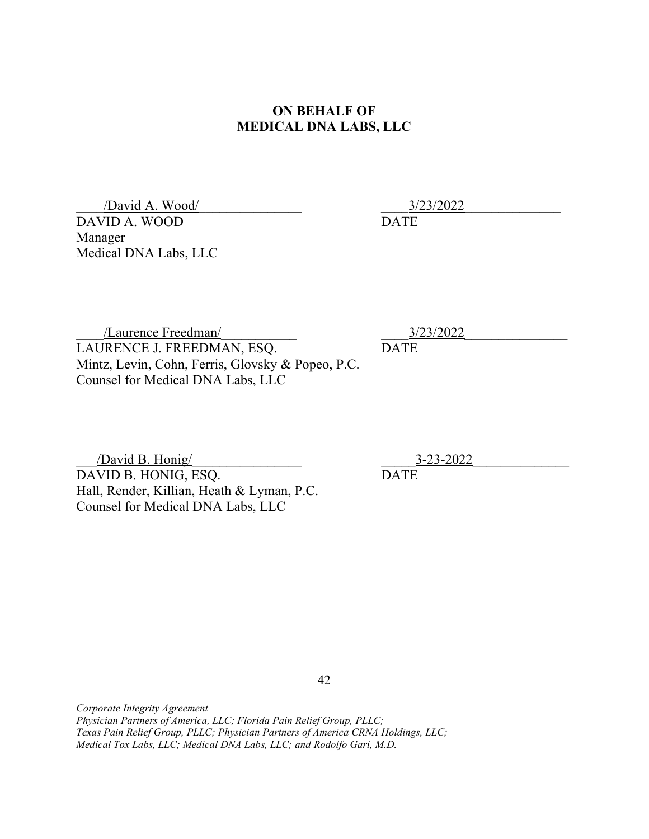### ON BEHALF OF MEDICAL DNA LABS, LLC

 \_\_\_\_/David A. Wood/\_\_\_\_\_\_\_\_\_\_\_\_\_\_\_ DAVID A. WOOD Manager Medical DNA Labs, LLC

\_\_\_\_3/23/2022\_\_\_\_\_\_\_\_\_\_\_\_\_\_

DATE

 LAURENCE J. FREEDMAN, ESQ. Mintz, Levin, Cohn, Ferris, Glovsky & Popeo, P.C. Counsel for Medical DNA Labs, LLC /Laurence Freedman/

 \_\_\_/David B. Honig/\_\_\_\_\_\_\_\_\_\_\_\_\_\_\_\_ DAVID B. HONIG, ESQ. Hall, Render, Killian, Heath & Lyman, P.C. Counsel for Medical DNA Labs, LLC

\_\_\_\_3/23/2022\_\_\_\_\_\_\_\_\_\_\_\_\_\_\_ DATE

\_\_\_\_\_3-23-2022\_\_\_\_\_\_\_\_\_\_\_\_\_\_

DATE

42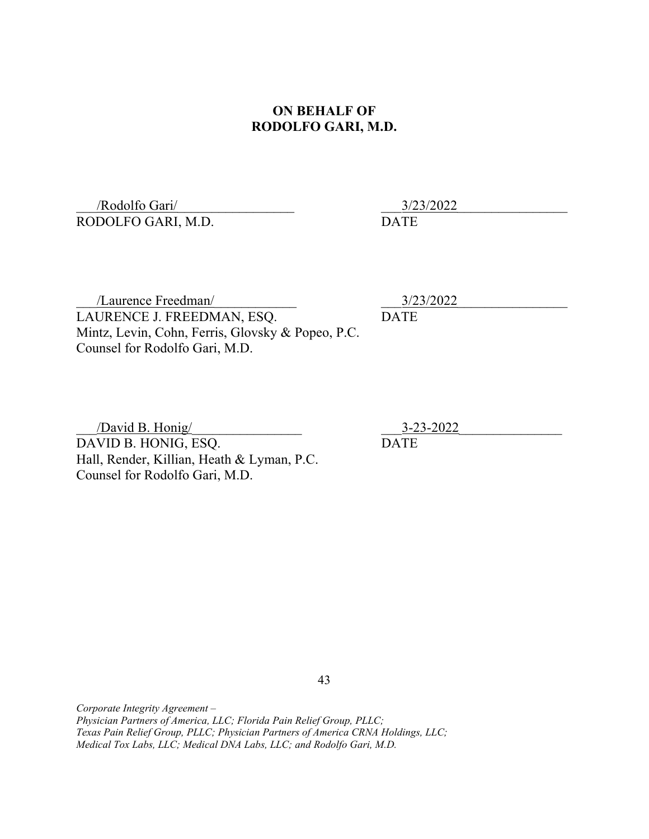### ON BEHALF OF RODOLFO GARI, M.D.

 RODOLFO GARI, M.D. /Rodolfo Gari/

\_\_\_3/23/2022\_\_\_\_\_\_\_\_\_\_\_\_\_\_\_\_

DATE

 LAURENCE J. FREEDMAN, ESQ. Mintz, Levin, Cohn, Ferris, Glovsky & Popeo, P.C. Counsel for Rodolfo Gari, M.D. /Laurence Freedman/

\_\_\_3/23/2022\_\_\_\_\_\_\_\_\_\_\_\_\_\_\_\_

DATE

 \_\_\_/David B. Honig/\_\_\_\_\_\_\_\_\_\_\_\_\_\_\_\_ DAVID B. HONIG, ESQ. Hall, Render, Killian, Heath & Lyman, P.C. Counsel for Rodolfo Gari, M.D.

\_\_\_3-23-2022\_\_\_\_\_\_\_\_\_\_\_\_\_\_\_

DATE

43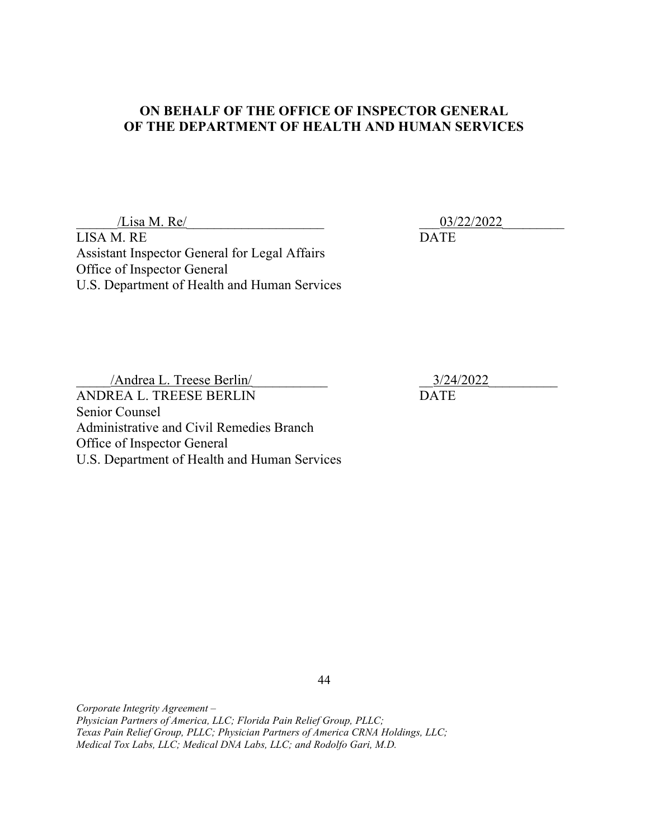### ON BEHALF OF THE OFFICE OF INSPECTOR GENERAL OF THE DEPARTMENT OF HEALTH AND HUMAN SERVICES

 $\frac{1}{2}$  /Lisa M. Re/ LISA M. RE DATE Assistant Inspector General for Legal Affairs

Office of Inspector General

Office of Inspector General

Andrea L. Treese Berlin/ 2022 ANDREA L. TREESE BERLIN DATE Senior Counsel Administrative and Civil Remedies Branch

U.S. Department of Health and Human Services

U.S. Department of Health and Human Services

44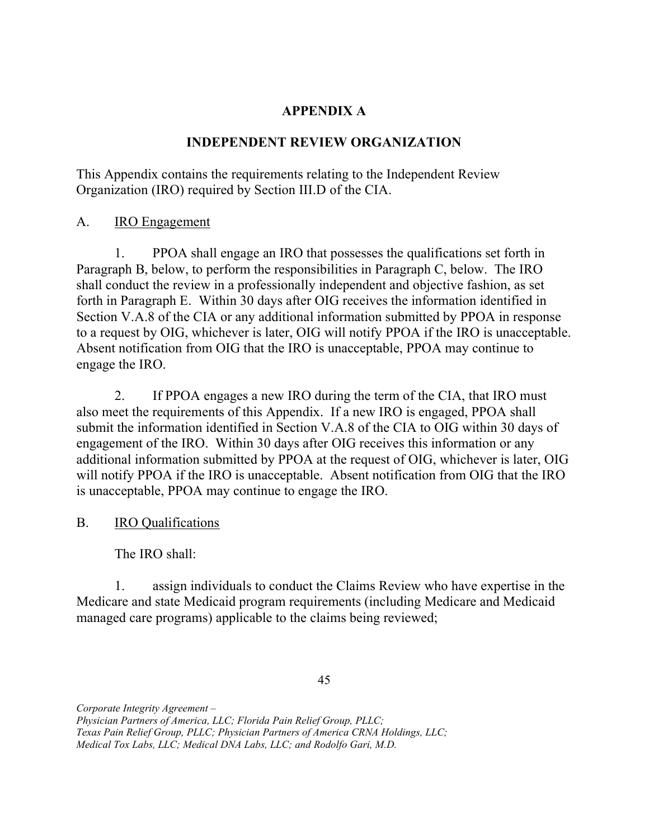## APPENDIX A

## INDEPENDENT REVIEW ORGANIZATION

 This Appendix contains the requirements relating to the Independent Review Organization (IRO) required by Section III.D of the CIA.

A. **IRO Engagement** 

 $1<sub>1</sub>$  Paragraph B, below, to perform the responsibilities in Paragraph C, below. The IRO shall conduct the review in a professionally independent and objective fashion, as set forth in Paragraph E. Within 30 days after OIG receives the information identified in Section V.A.8 of the CIA or any additional information submitted by PPOA in response to a request by OIG, whichever is later, OIG will notify PPOA if the IRO is unacceptable. Absent notification from OIG that the IRO is unacceptable, PPOA may continue to engage the IRO. 1. PPOA shall engage an IRO that possesses the qualifications set forth in

2. also meet the requirements of this Appendix. If a new IRO is engaged, PPOA shall submit the information identified in Section V.A.8 of the CIA to OIG within 30 days of engagement of the IRO. Within 30 days after OIG receives this information or any additional information submitted by PPOA at the request of OIG, whichever is later, OIG will notify PPOA if the IRO is unacceptable. Absent notification from OIG that the IRO is unacceptable, PPOA may continue to engage the IRO. If PPOA engages a new IRO during the term of the CIA, that IRO must

 $B<sub>1</sub>$ IRO Qualifications

The IRO shall:

 $\mathbf{1}$ . Medicare and state Medicaid program requirements (including Medicare and Medicaid managed care programs) applicable to the claims being reviewed; assign individuals to conduct the Claims Review who have expertise in the

45

 Physician Partners of America, LLC; Florida Pain Relief Group, PLLC; Texas Pain Relief Group, PLLC; Physician Partners of America CRNA Holdings, LLC;

 Medical Tox Labs, LLC; Medical DNA Labs, LLC; and Rodolfo Gari, M.D.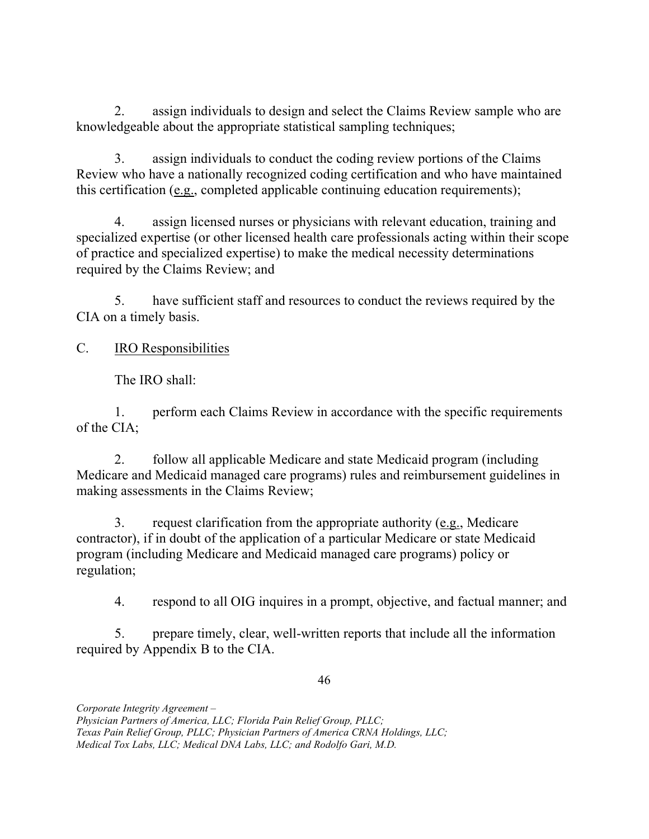$2.$  knowledgeable about the appropriate statistical sampling techniques; assign individuals to design and select the Claims Review sample who are

3. Review who have a nationally recognized coding certification and who have maintained this certification (e.g., completed applicable continuing education requirements); assign individuals to conduct the coding review portions of the Claims

4. specialized expertise (or other licensed health care professionals acting within their scope of practice and specialized expertise) to make the medical necessity determinations required by the Claims Review; and assign licensed nurses or physicians with relevant education, training and

5. CIA on a timely basis. have sufficient staff and resources to conduct the reviews required by the

#### $C_{\cdot}$ IRO Responsibilities

The IRO shall:

 1. perform each Claims Review in accordance with the specific requirements of the CIA;

2. Medicare and Medicaid managed care programs) rules and reimbursement guidelines in making assessments in the Claims Review; 2. follow all applicable Medicare and state Medicaid program (including

 $\overline{3}$ . contractor), if in doubt of the application of a particular Medicare or state Medicaid program (including Medicare and Medicaid managed care programs) policy or 3. request clarification from the appropriate authority (e.g., Medicare regulation;

 $\overline{4}$ . respond to all OIG inquires in a prompt, objective, and factual manner; and

 $5<sub>1</sub>$  required by Appendix B to the CIA. 5. prepare timely, clear, well-written reports that include all the information

46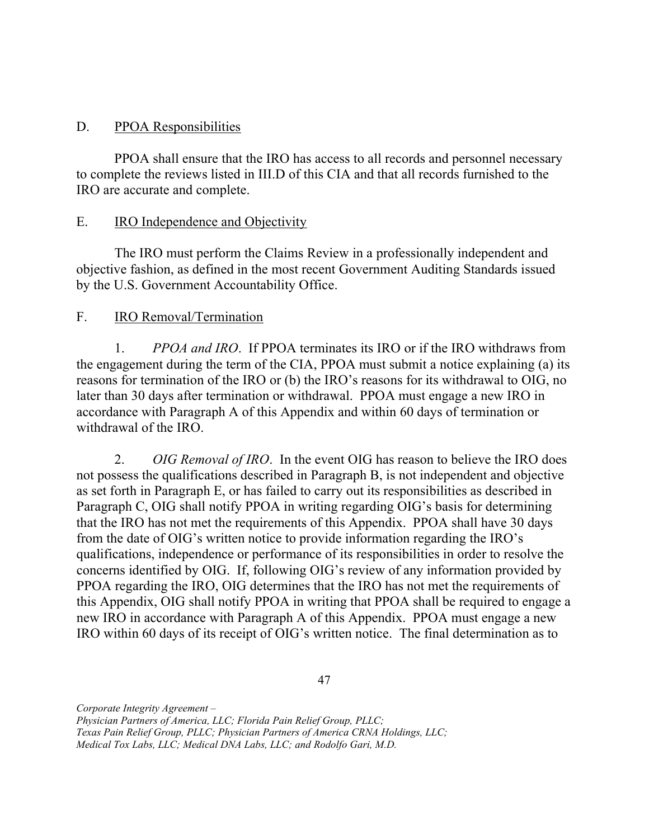#### D. PPOA Responsibilities

 PPOA shall ensure that the IRO has access to all records and personnel necessary to complete the reviews listed in III.D of this CIA and that all records furnished to the IRO are accurate and complete.

#### Ε. IRO Independence and Objectivity

 The IRO must perform the Claims Review in a professionally independent and objective fashion, as defined in the most recent Government Auditing Standards issued by the U.S. Government Accountability Office.

#### $F_{\cdot}$ IRO Removal/Termination

1. PPOA and IRO. If PPOA terminates its IRO or if the IRO withdraws from the engagement during the term of the CIA, PPOA must submit a notice explaining (a) its reasons for termination of the IRO or (b) the IRO's reasons for its withdrawal to OIG, no later than 30 days after termination or withdrawal. PPOA must engage a new IRO in accordance with Paragraph A of this Appendix and within 60 days of termination or withdrawal of the IRO.

2. OIG Removal of IRO. In the event OIG has reason to believe the IRO does not possess the qualifications described in Paragraph B, is not independent and objective as set forth in Paragraph E, or has failed to carry out its responsibilities as described in Paragraph C, OIG shall notify PPOA in writing regarding OIG's basis for determining that the IRO has not met the requirements of this Appendix. PPOA shall have 30 days from the date of OIG's written notice to provide information regarding the IRO's qualifications, independence or performance of its responsibilities in order to resolve the concerns identified by OIG. If, following OIG's review of any information provided by PPOA regarding the IRO, OIG determines that the IRO has not met the requirements of this Appendix, OIG shall notify PPOA in writing that PPOA shall be required to engage a new IRO in accordance with Paragraph A of this Appendix. PPOA must engage a new IRO within 60 days of its receipt of OIG's written notice. The final determination as to

47

 Physician Partners of America, LLC; Florida Pain Relief Group, PLLC;

 Texas Pain Relief Group, PLLC; Physician Partners of America CRNA Holdings, LLC;

 Medical Tox Labs, LLC; Medical DNA Labs, LLC; and Rodolfo Gari, M.D.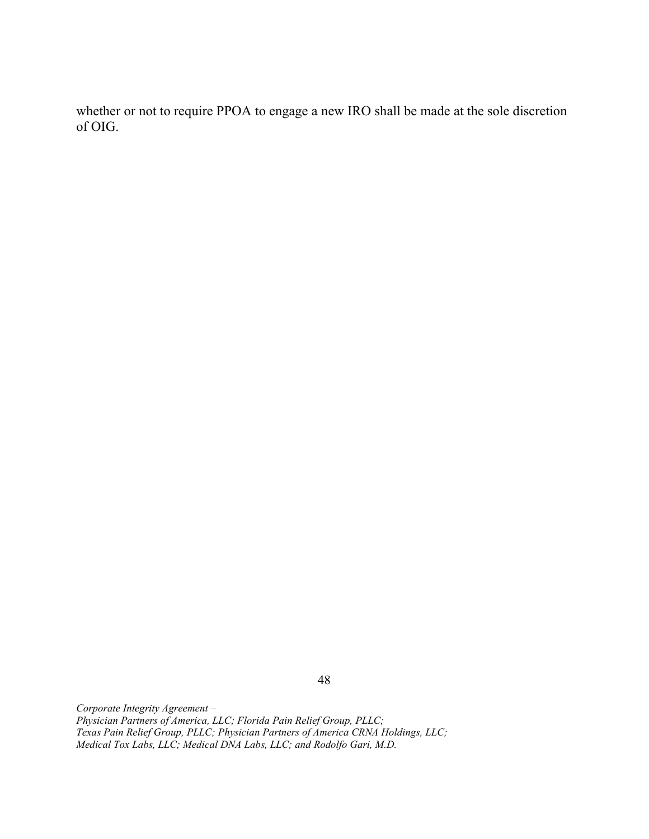whether or not to require PPOA to engage a new IRO shall be made at the sole discretion of OIG.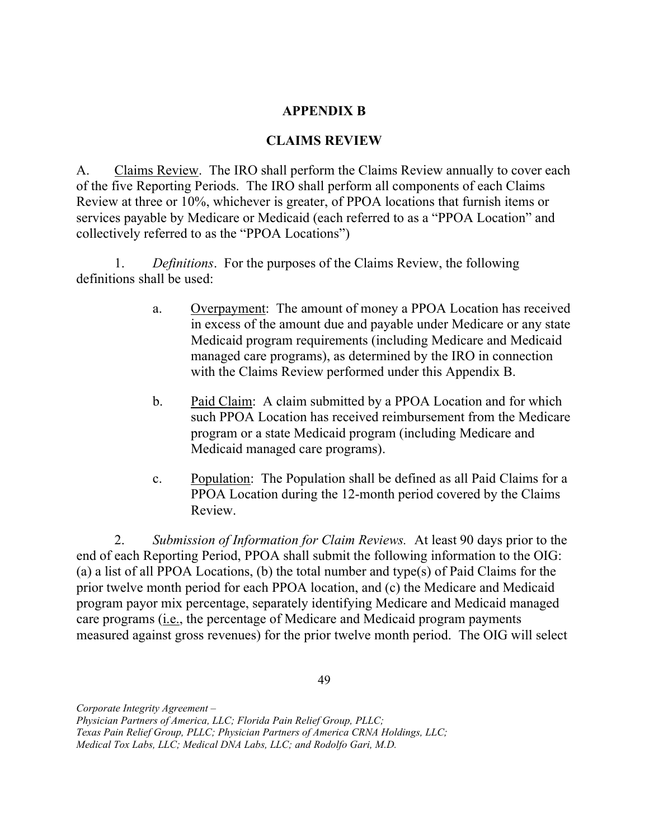### APPENDIX B

### CLAIMS REVIEW

A. of the five Reporting Periods. The IRO shall perform all components of each Claims Review at three or 10%, whichever is greater, of PPOA locations that furnish items or services payable by Medicare or Medicaid (each referred to as a "PPOA Location" and collectively referred to as the "PPOA Locations") Claims Review. The IRO shall perform the Claims Review annually to cover each

1. Definitions. For the purposes of the Claims Review, the following definitions shall be used:

- a. Overpayment: The amount of money a PPOA Location has received in excess of the amount due and payable under Medicare or any state Medicaid program requirements (including Medicare and Medicaid managed care programs), as determined by the IRO in connection with the Claims Review performed under this Appendix B.
- b. Paid Claim: A claim submitted by a PPOA Location and for which such PPOA Location has received reimbursement from the Medicare program or a state Medicaid program (including Medicare and Medicaid managed care programs).
- c. Population: The Population shall be defined as all Paid Claims for a PPOA Location during the 12-month period covered by the Claims Review.

2. Submission of Information for Claim Reviews. At least 90 days prior to the end of each Reporting Period, PPOA shall submit the following information to the OIG: (a) a list of all PPOA Locations, (b) the total number and type(s) of Paid Claims for the prior twelve month period for each PPOA location, and (c) the Medicare and Medicaid program payor mix percentage, separately identifying Medicare and Medicaid managed care programs (*i.e.*, the percentage of Medicare and Medicaid program payments measured against gross revenues) for the prior twelve month period. The OIG will select

49

 Physician Partners of America, LLC; Florida Pain Relief Group, PLLC;

 Texas Pain Relief Group, PLLC; Physician Partners of America CRNA Holdings, LLC;

 Medical Tox Labs, LLC; Medical DNA Labs, LLC; and Rodolfo Gari, M.D.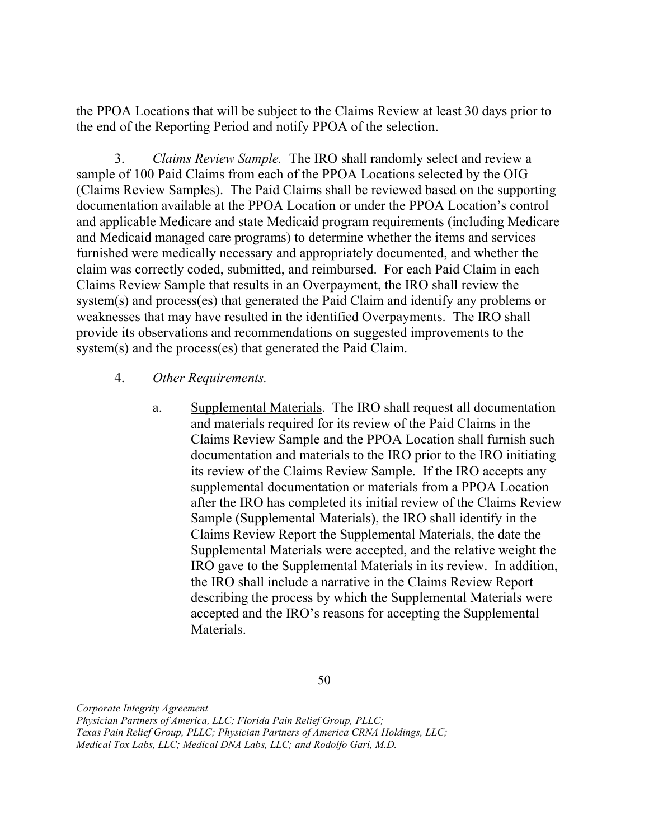the PPOA Locations that will be subject to the Claims Review at least 30 days prior to the end of the Reporting Period and notify PPOA of the selection.

3. Claims Review Sample. The IRO shall randomly select and review a sample of 100 Paid Claims from each of the PPOA Locations selected by the OIG (Claims Review Samples). The Paid Claims shall be reviewed based on the supporting documentation available at the PPOA Location or under the PPOA Location's control and applicable Medicare and state Medicaid program requirements (including Medicare and Medicaid managed care programs) to determine whether the items and services furnished were medically necessary and appropriately documented, and whether the claim was correctly coded, submitted, and reimbursed. For each Paid Claim in each Claims Review Sample that results in an Overpayment, the IRO shall review the system(s) and process(es) that generated the Paid Claim and identify any problems or weaknesses that may have resulted in the identified Overpayments. The IRO shall provide its observations and recommendations on suggested improvements to the system(s) and the process(es) that generated the Paid Claim.

### 4. Other Requirements.

a. Supplemental Materials. The IRO shall request all documentation and materials required for its review of the Paid Claims in the Claims Review Sample and the PPOA Location shall furnish such documentation and materials to the IRO prior to the IRO initiating its review of the Claims Review Sample. If the IRO accepts any supplemental documentation or materials from a PPOA Location after the IRO has completed its initial review of the Claims Review Sample (Supplemental Materials), the IRO shall identify in the Claims Review Report the Supplemental Materials, the date the Supplemental Materials were accepted, and the relative weight the IRO gave to the Supplemental Materials in its review. In addition, the IRO shall include a narrative in the Claims Review Report describing the process by which the Supplemental Materials were accepted and the IRO's reasons for accepting the Supplemental Materials.

Corporate Integrity Agreement –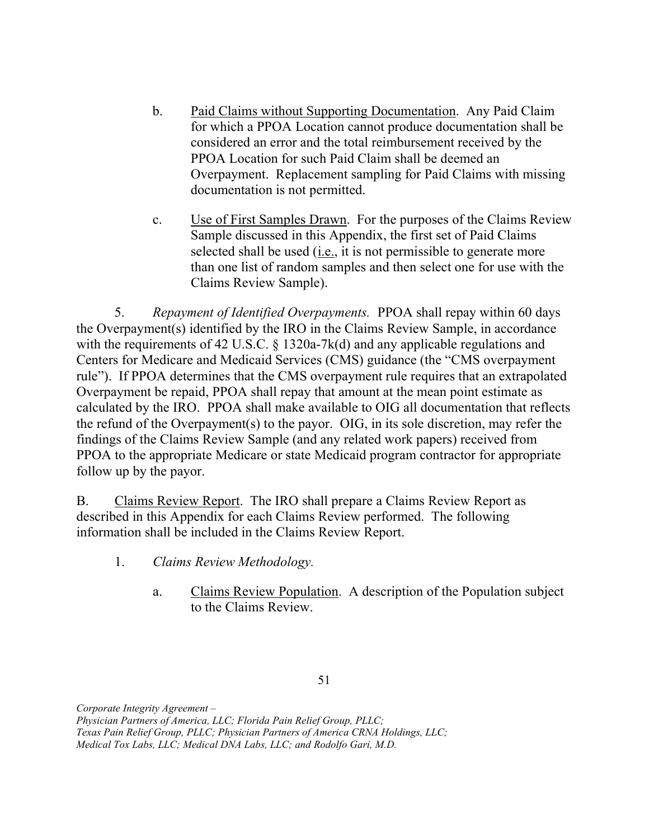- b. Paid Claims without Supporting Documentation. Any Paid Claim for which a PPOA Location cannot produce documentation shall be considered an error and the total reimbursement received by the PPOA Location for such Paid Claim shall be deemed an Overpayment. Replacement sampling for Paid Claims with missing documentation is not permitted.
- c. Use of First Samples Drawn. For the purposes of the Claims Review Sample discussed in this Appendix, the first set of Paid Claims selected shall be used (*i.e.*, it is not permissible to generate more than one list of random samples and then select one for use with the Claims Review Sample).

5. Repayment of Identified Overpayments. PPOA shall repay within 60 days the Overpayment(s) identified by the IRO in the Claims Review Sample, in accordance with the requirements of 42 U.S.C. § 1320a-7k(d) and any applicable regulations and Centers for Medicare and Medicaid Services (CMS) guidance (the "CMS overpayment rule"). If PPOA determines that the CMS overpayment rule requires that an extrapolated Overpayment be repaid, PPOA shall repay that amount at the mean point estimate as calculated by the IRO. PPOA shall make available to OIG all documentation that reflects the refund of the Overpayment(s) to the payor. OIG, in its sole discretion, may refer the findings of the Claims Review Sample (and any related work papers) received from PPOA to the appropriate Medicare or state Medicaid program contractor for appropriate follow up by the payor.

B. Claims Review Report. The IRO shall prepare a Claims Review Report as described in this Appendix for each Claims Review performed. The following information shall be included in the Claims Review Report.

- 1. Claims Review Methodology.
	- a. Claims Review Population. A description of the Population subject to the Claims Review.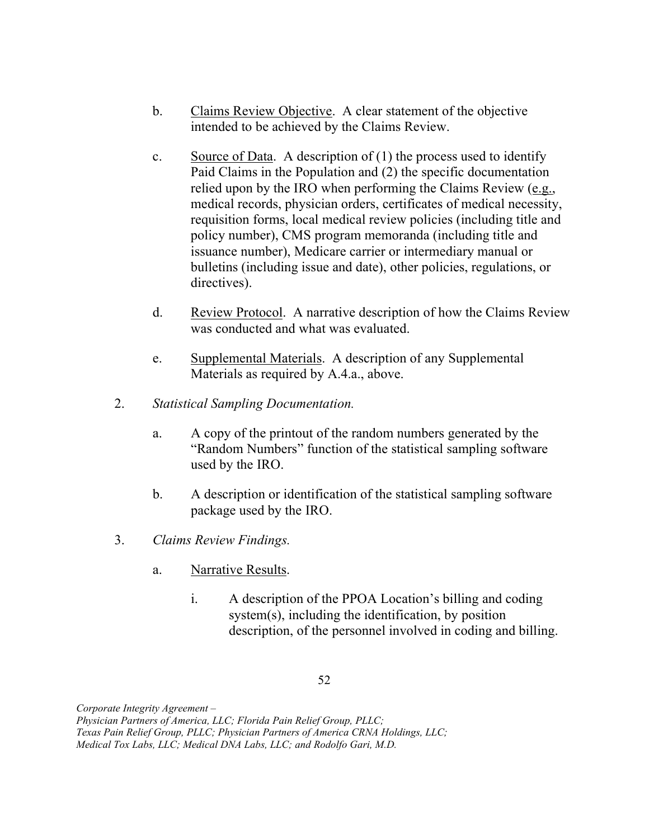- b. Claims Review Objective. A clear statement of the objective intended to be achieved by the Claims Review.
- c. Source of Data. A description of  $(1)$  the process used to identify Paid Claims in the Population and (2) the specific documentation relied upon by the IRO when performing the Claims Review (e.g., medical records, physician orders, certificates of medical necessity, requisition forms, local medical review policies (including title and policy number), CMS program memoranda (including title and issuance number), Medicare carrier or intermediary manual or bulletins (including issue and date), other policies, regulations, or directives).
- d. Review Protocol. A narrative description of how the Claims Review was conducted and what was evaluated.
- e. Supplemental Materials. A description of any Supplemental Materials as required by A.4.a., above.
- 2. Statistical Sampling Documentation.
	- a. A copy of the printout of the random numbers generated by the "Random Numbers" function of the statistical sampling software used by the IRO.
	- b. A description or identification of the statistical sampling software package used by the IRO.
- 3. Claims Review Findings.
	- a. Narrative Results.
		- i. A description of the PPOA Location's billing and coding system(s), including the identification, by position description, of the personnel involved in coding and billing.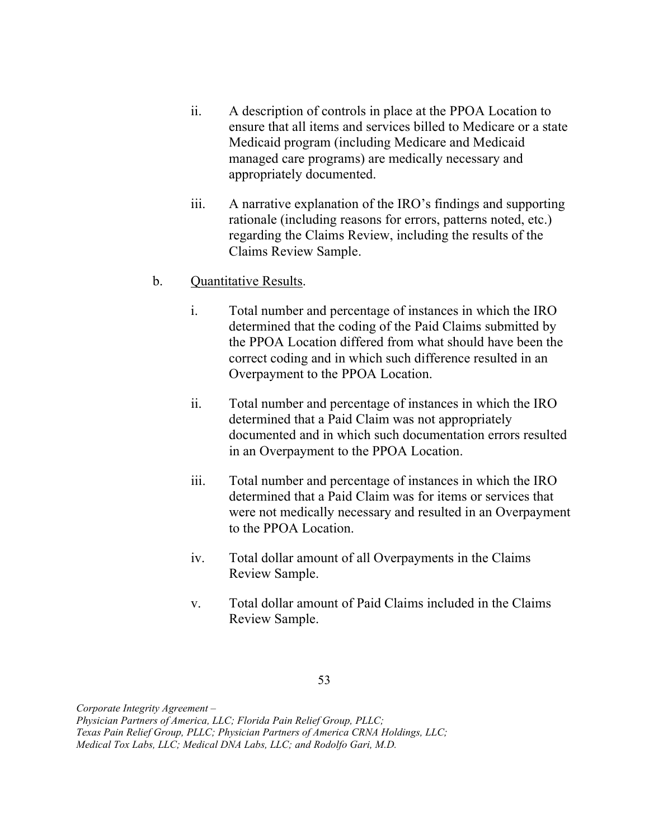- ii. A description of controls in place at the PPOA Location to ensure that all items and services billed to Medicare or a state Medicaid program (including Medicare and Medicaid managed care programs) are medically necessary and appropriately documented.
- iii. A narrative explanation of the IRO's findings and supporting rationale (including reasons for errors, patterns noted, etc.) regarding the Claims Review, including the results of the Claims Review Sample.

### b. Quantitative Results.

- i. Total number and percentage of instances in which the IRO determined that the coding of the Paid Claims submitted by the PPOA Location differed from what should have been the correct coding and in which such difference resulted in an Overpayment to the PPOA Location.
- ii. Total number and percentage of instances in which the IRO determined that a Paid Claim was not appropriately documented and in which such documentation errors resulted in an Overpayment to the PPOA Location.
- iii. Total number and percentage of instances in which the IRO determined that a Paid Claim was for items or services that were not medically necessary and resulted in an Overpayment to the PPOA Location.
- iv. Total dollar amount of all Overpayments in the Claims Review Sample.
- v. Total dollar amount of Paid Claims included in the Claims Review Sample.